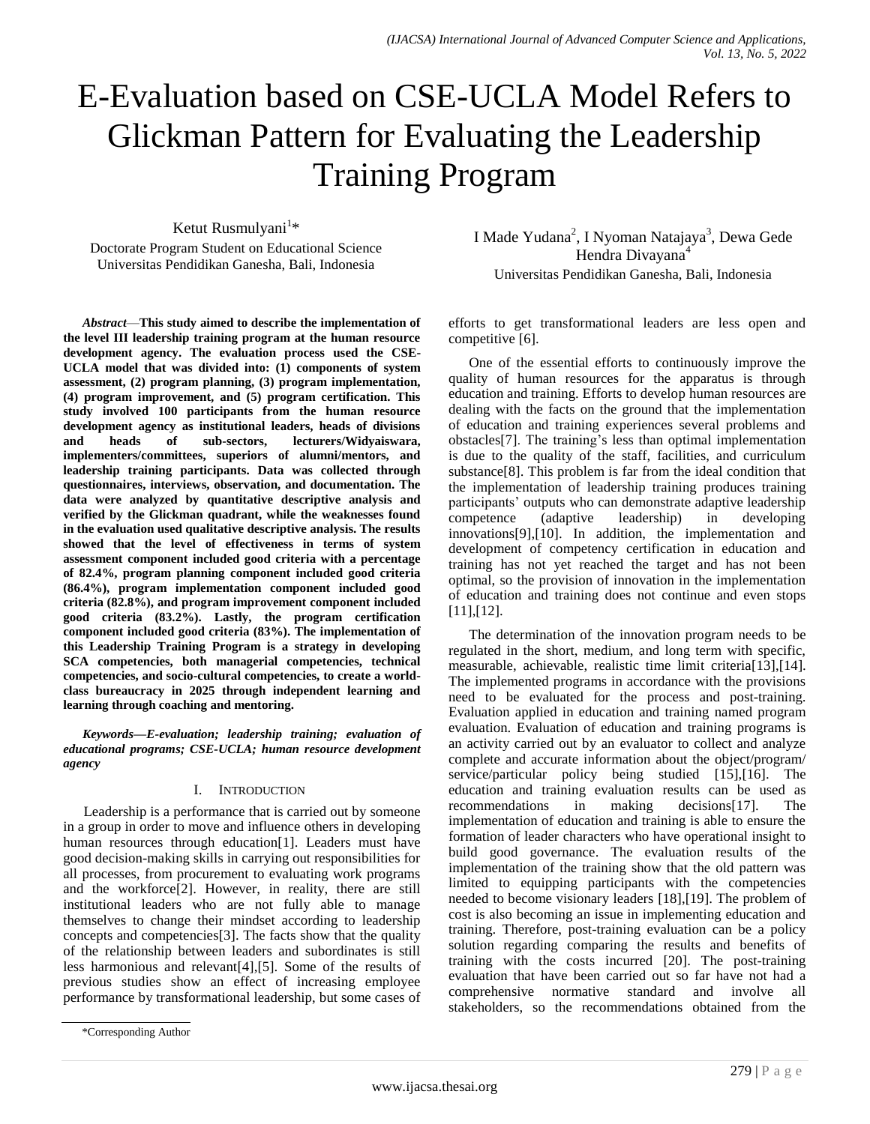# E-Evaluation based on CSE-UCLA Model Refers to Glickman Pattern for Evaluating the Leadership Training Program

Ketut Rusmulyani<sup>1</sup>\*

Doctorate Program Student on Educational Science Universitas Pendidikan Ganesha, Bali, Indonesia

*Abstract*—**This study aimed to describe the implementation of the level III leadership training program at the human resource development agency. The evaluation process used the CSE-UCLA model that was divided into: (1) components of system assessment, (2) program planning, (3) program implementation, (4) program improvement, and (5) program certification. This study involved 100 participants from the human resource development agency as institutional leaders, heads of divisions and heads of sub-sectors, lecturers/Widyaiswara, implementers/committees, superiors of alumni/mentors, and leadership training participants. Data was collected through questionnaires, interviews, observation, and documentation. The data were analyzed by quantitative descriptive analysis and verified by the Glickman quadrant, while the weaknesses found in the evaluation used qualitative descriptive analysis. The results showed that the level of effectiveness in terms of system assessment component included good criteria with a percentage of 82.4%, program planning component included good criteria (86.4%), program implementation component included good criteria (82.8%), and program improvement component included good criteria (83.2%). Lastly, the program certification component included good criteria (83%). The implementation of this Leadership Training Program is a strategy in developing SCA competencies, both managerial competencies, technical competencies, and socio-cultural competencies, to create a worldclass bureaucracy in 2025 through independent learning and learning through coaching and mentoring.**

*Keywords—E-evaluation; leadership training; evaluation of educational programs; CSE-UCLA; human resource development agency*

#### I. INTRODUCTION

Leadership is a performance that is carried out by someone in a group in order to move and influence others in developing human resources through education[1]. Leaders must have good decision-making skills in carrying out responsibilities for all processes, from procurement to evaluating work programs and the workforce[2]. However, in reality, there are still institutional leaders who are not fully able to manage themselves to change their mindset according to leadership concepts and competencies[3]. The facts show that the quality of the relationship between leaders and subordinates is still less harmonious and relevant[4],[5]. Some of the results of previous studies show an effect of increasing employee performance by transformational leadership, but some cases of I Made Yudana<sup>2</sup>, I Nyoman Natajaya<sup>3</sup>, Dewa Gede Hendra Divayana<sup>4</sup> Universitas Pendidikan Ganesha, Bali, Indonesia

efforts to get transformational leaders are less open and competitive [6].

One of the essential efforts to continuously improve the quality of human resources for the apparatus is through education and training. Efforts to develop human resources are dealing with the facts on the ground that the implementation of education and training experiences several problems and obstacles[7]. The training's less than optimal implementation is due to the quality of the staff, facilities, and curriculum substance[8]. This problem is far from the ideal condition that the implementation of leadership training produces training participants' outputs who can demonstrate adaptive leadership competence (adaptive leadership) in developing innovations[9],[10]. In addition, the implementation and development of competency certification in education and training has not yet reached the target and has not been optimal, so the provision of innovation in the implementation of education and training does not continue and even stops [11],[12].

The determination of the innovation program needs to be regulated in the short, medium, and long term with specific, measurable, achievable, realistic time limit criteria[13],[14]. The implemented programs in accordance with the provisions need to be evaluated for the process and post-training. Evaluation applied in education and training named program evaluation. Evaluation of education and training programs is an activity carried out by an evaluator to collect and analyze complete and accurate information about the object/program/ service/particular policy being studied [15],[16]. The education and training evaluation results can be used as recommendations in making decisions[17]. The implementation of education and training is able to ensure the formation of leader characters who have operational insight to build good governance. The evaluation results of the implementation of the training show that the old pattern was limited to equipping participants with the competencies needed to become visionary leaders [18],[19]. The problem of cost is also becoming an issue in implementing education and training. Therefore, post-training evaluation can be a policy solution regarding comparing the results and benefits of training with the costs incurred [20]. The post-training evaluation that have been carried out so far have not had a comprehensive normative standard and involve all stakeholders, so the recommendations obtained from the

<sup>\*</sup>Corresponding Author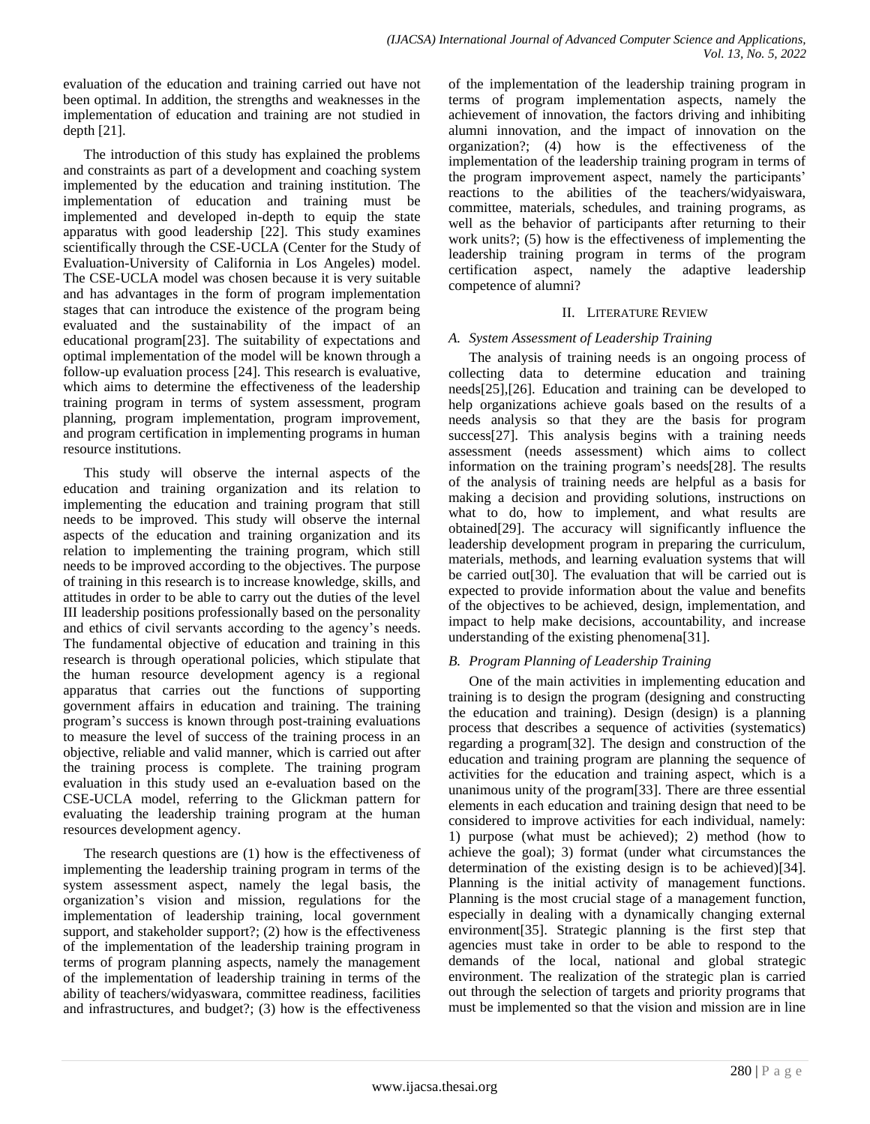evaluation of the education and training carried out have not been optimal. In addition, the strengths and weaknesses in the implementation of education and training are not studied in depth [21].

The introduction of this study has explained the problems and constraints as part of a development and coaching system implemented by the education and training institution. The implementation of education and training must be implemented and developed in-depth to equip the state apparatus with good leadership [22]. This study examines scientifically through the CSE-UCLA (Center for the Study of Evaluation-University of California in Los Angeles) model. The CSE-UCLA model was chosen because it is very suitable and has advantages in the form of program implementation stages that can introduce the existence of the program being evaluated and the sustainability of the impact of an educational program[23]. The suitability of expectations and optimal implementation of the model will be known through a follow-up evaluation process [24]. This research is evaluative, which aims to determine the effectiveness of the leadership training program in terms of system assessment, program planning, program implementation, program improvement, and program certification in implementing programs in human resource institutions.

This study will observe the internal aspects of the education and training organization and its relation to implementing the education and training program that still needs to be improved. This study will observe the internal aspects of the education and training organization and its relation to implementing the training program, which still needs to be improved according to the objectives. The purpose of training in this research is to increase knowledge, skills, and attitudes in order to be able to carry out the duties of the level III leadership positions professionally based on the personality and ethics of civil servants according to the agency's needs. The fundamental objective of education and training in this research is through operational policies, which stipulate that the human resource development agency is a regional apparatus that carries out the functions of supporting government affairs in education and training. The training program's success is known through post-training evaluations to measure the level of success of the training process in an objective, reliable and valid manner, which is carried out after the training process is complete. The training program evaluation in this study used an e-evaluation based on the CSE-UCLA model, referring to the Glickman pattern for evaluating the leadership training program at the human resources development agency.

The research questions are (1) how is the effectiveness of implementing the leadership training program in terms of the system assessment aspect, namely the legal basis, the organization's vision and mission, regulations for the implementation of leadership training, local government support, and stakeholder support?; (2) how is the effectiveness of the implementation of the leadership training program in terms of program planning aspects, namely the management of the implementation of leadership training in terms of the ability of teachers/widyaswara, committee readiness, facilities and infrastructures, and budget?; (3) how is the effectiveness

of the implementation of the leadership training program in terms of program implementation aspects, namely the achievement of innovation, the factors driving and inhibiting alumni innovation, and the impact of innovation on the organization?; (4) how is the effectiveness of the implementation of the leadership training program in terms of the program improvement aspect, namely the participants' reactions to the abilities of the teachers/widyaiswara, committee, materials, schedules, and training programs, as well as the behavior of participants after returning to their work units?; (5) how is the effectiveness of implementing the leadership training program in terms of the program certification aspect, namely the adaptive leadership competence of alumni?

# II. LITERATURE REVIEW

# *A. System Assessment of Leadership Training*

The analysis of training needs is an ongoing process of collecting data to determine education and training needs[25],[26]. Education and training can be developed to help organizations achieve goals based on the results of a needs analysis so that they are the basis for program success[27]. This analysis begins with a training needs assessment (needs assessment) which aims to collect information on the training program's needs[28]. The results of the analysis of training needs are helpful as a basis for making a decision and providing solutions, instructions on what to do, how to implement, and what results are obtained[29]. The accuracy will significantly influence the leadership development program in preparing the curriculum, materials, methods, and learning evaluation systems that will be carried out[30]. The evaluation that will be carried out is expected to provide information about the value and benefits of the objectives to be achieved, design, implementation, and impact to help make decisions, accountability, and increase understanding of the existing phenomena[31].

# *B. Program Planning of Leadership Training*

One of the main activities in implementing education and training is to design the program (designing and constructing the education and training). Design (design) is a planning process that describes a sequence of activities (systematics) regarding a program[32]. The design and construction of the education and training program are planning the sequence of activities for the education and training aspect, which is a unanimous unity of the program[33]. There are three essential elements in each education and training design that need to be considered to improve activities for each individual, namely: 1) purpose (what must be achieved); 2) method (how to achieve the goal); 3) format (under what circumstances the determination of the existing design is to be achieved)[34]. Planning is the initial activity of management functions. Planning is the most crucial stage of a management function, especially in dealing with a dynamically changing external environment[35]. Strategic planning is the first step that agencies must take in order to be able to respond to the demands of the local, national and global strategic environment. The realization of the strategic plan is carried out through the selection of targets and priority programs that must be implemented so that the vision and mission are in line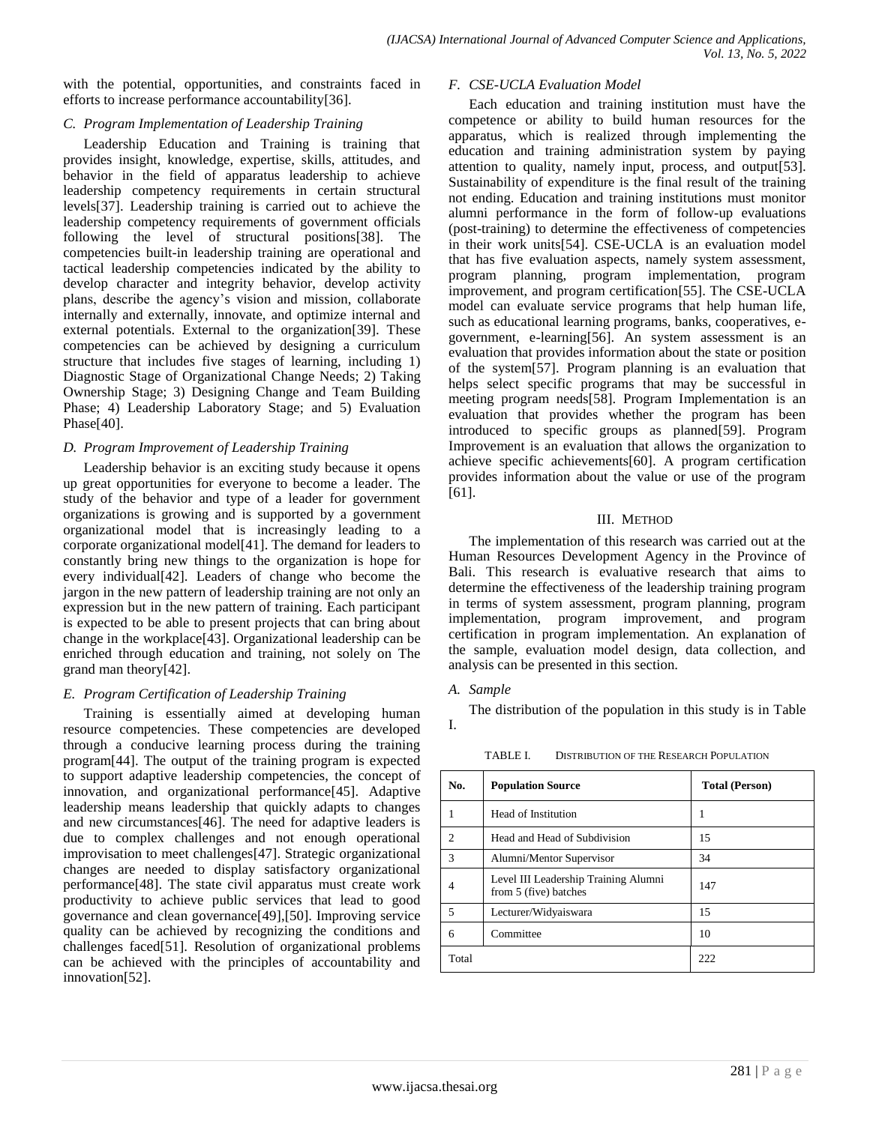with the potential, opportunities, and constraints faced in efforts to increase performance accountability[36].

#### *C. Program Implementation of Leadership Training*

Leadership Education and Training is training that provides insight, knowledge, expertise, skills, attitudes, and behavior in the field of apparatus leadership to achieve leadership competency requirements in certain structural levels[37]. Leadership training is carried out to achieve the leadership competency requirements of government officials following the level of structural positions[38]. The competencies built-in leadership training are operational and tactical leadership competencies indicated by the ability to develop character and integrity behavior, develop activity plans, describe the agency's vision and mission, collaborate internally and externally, innovate, and optimize internal and external potentials. External to the organization[39]. These competencies can be achieved by designing a curriculum structure that includes five stages of learning, including 1) Diagnostic Stage of Organizational Change Needs; 2) Taking Ownership Stage; 3) Designing Change and Team Building Phase; 4) Leadership Laboratory Stage; and 5) Evaluation Phase<sup>[40]</sup>.

# *D. Program Improvement of Leadership Training*

Leadership behavior is an exciting study because it opens up great opportunities for everyone to become a leader. The study of the behavior and type of a leader for government organizations is growing and is supported by a government organizational model that is increasingly leading to a corporate organizational model[41]. The demand for leaders to constantly bring new things to the organization is hope for every individual[42]. Leaders of change who become the jargon in the new pattern of leadership training are not only an expression but in the new pattern of training. Each participant is expected to be able to present projects that can bring about change in the workplace[43]. Organizational leadership can be enriched through education and training, not solely on The grand man theory[42].

# *E. Program Certification of Leadership Training*

Training is essentially aimed at developing human resource competencies. These competencies are developed through a conducive learning process during the training program[44]. The output of the training program is expected to support adaptive leadership competencies, the concept of innovation, and organizational performance[45]. Adaptive leadership means leadership that quickly adapts to changes and new circumstances[46]. The need for adaptive leaders is due to complex challenges and not enough operational improvisation to meet challenges[47]. Strategic organizational changes are needed to display satisfactory organizational performance[48]. The state civil apparatus must create work productivity to achieve public services that lead to good governance and clean governance[49],[50]. Improving service quality can be achieved by recognizing the conditions and challenges faced[51]. Resolution of organizational problems can be achieved with the principles of accountability and innovation[52].

#### *F. CSE-UCLA Evaluation Model*

Each education and training institution must have the competence or ability to build human resources for the apparatus, which is realized through implementing the education and training administration system by paying attention to quality, namely input, process, and output[53]. Sustainability of expenditure is the final result of the training not ending. Education and training institutions must monitor alumni performance in the form of follow-up evaluations (post-training) to determine the effectiveness of competencies in their work units[54]. CSE-UCLA is an evaluation model that has five evaluation aspects, namely system assessment, program planning, program implementation, program improvement, and program certification[55]. The CSE-UCLA model can evaluate service programs that help human life, such as educational learning programs, banks, cooperatives, egovernment, e-learning[56]. An system assessment is an evaluation that provides information about the state or position of the system[57]. Program planning is an evaluation that helps select specific programs that may be successful in meeting program needs[58]. Program Implementation is an evaluation that provides whether the program has been introduced to specific groups as planned[59]. Program Improvement is an evaluation that allows the organization to achieve specific achievements[60]. A program certification provides information about the value or use of the program [61].

#### III. METHOD

The implementation of this research was carried out at the Human Resources Development Agency in the Province of Bali. This research is evaluative research that aims to determine the effectiveness of the leadership training program in terms of system assessment, program planning, program implementation, program improvement, and program certification in program implementation. An explanation of the sample, evaluation model design, data collection, and analysis can be presented in this section.

# *A. Sample*

The distribution of the population in this study is in Table I.

| No.            | <b>Population Source</b>                                      | <b>Total (Person)</b> |  |  |  |
|----------------|---------------------------------------------------------------|-----------------------|--|--|--|
|                | Head of Institution                                           |                       |  |  |  |
| $\mathfrak{D}$ | Head and Head of Subdivision                                  | 15                    |  |  |  |
| $\mathcal{R}$  | Alumni/Mentor Supervisor                                      | 34                    |  |  |  |
|                | Level III Leadership Training Alumni<br>from 5 (five) batches | 147                   |  |  |  |
| 5              | Lecturer/Widyaiswara                                          | 15                    |  |  |  |
| 6              | Committee                                                     | 10                    |  |  |  |
| Total          |                                                               | 222                   |  |  |  |

TABLE I. DISTRIBUTION OF THE RESEARCH POPULATION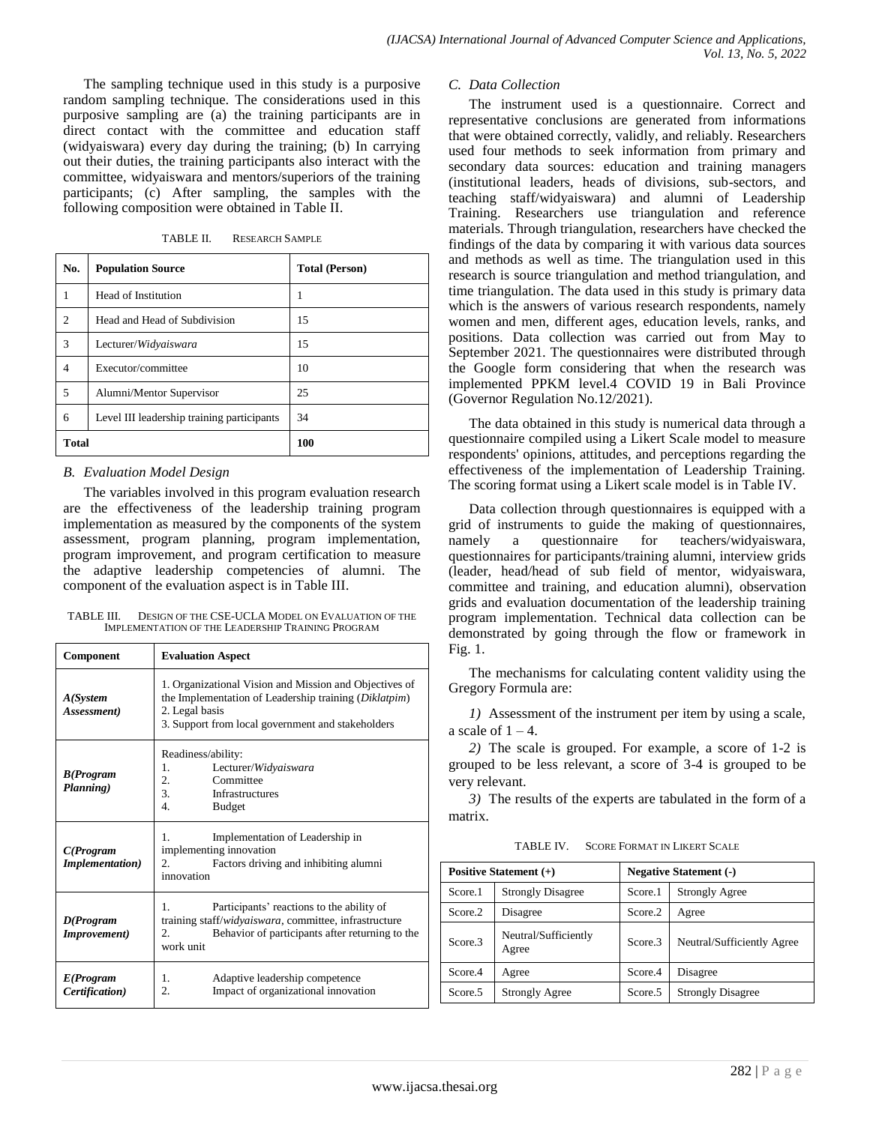The sampling technique used in this study is a purposive random sampling technique. The considerations used in this purposive sampling are (a) the training participants are in direct contact with the committee and education staff (widyaiswara) every day during the training; (b) In carrying out their duties, the training participants also interact with the committee, widyaiswara and mentors/superiors of the training participants; (c) After sampling, the samples with the following composition were obtained in Table II.

TABLE II. RESEARCH SAMPLE

| No.            | <b>Population Source</b>                   | <b>Total (Person)</b> |  |  |  |
|----------------|--------------------------------------------|-----------------------|--|--|--|
| 1              | Head of Institution                        | 1                     |  |  |  |
| $\overline{c}$ | Head and Head of Subdivision               | 15                    |  |  |  |
| 3              | Lecturer/Widyaiswara                       | 15                    |  |  |  |
| $\overline{4}$ | Executor/committee                         | 10                    |  |  |  |
| 5              | Alumni/Mentor Supervisor                   | 25                    |  |  |  |
| 6              | Level III leadership training participants | 34                    |  |  |  |
| <b>Total</b>   |                                            | 100                   |  |  |  |

#### *B. Evaluation Model Design*

The variables involved in this program evaluation research are the effectiveness of the leadership training program implementation as measured by the components of the system assessment, program planning, program implementation, program improvement, and program certification to measure the adaptive leadership competencies of alumni. The component of the evaluation aspect is in Table III.

| TABLE III. | DESIGN OF THE CSE-UCLA MODEL ON EVALUATION OF THE |
|------------|---------------------------------------------------|
|            | IMPLEMENTATION OF THE LEADERSHIP TRAINING PROGRAM |

| <b>Component</b>                     | <b>Evaluation Aspect</b>                                                                                                                                                                   |  |  |  |  |
|--------------------------------------|--------------------------------------------------------------------------------------------------------------------------------------------------------------------------------------------|--|--|--|--|
| $A(S$ ystem<br>Assessment)           | 1. Organizational Vision and Mission and Objectives of<br>the Implementation of Leadership training (Diklatpim)<br>2. Legal basis<br>3. Support from local government and stakeholders     |  |  |  |  |
| <b>B</b> (Program<br>Planning)       | Readiness/ability:<br>1.<br>Lecturer/Widyaiswara<br>2.<br>Committee<br>3.<br>Infrastructures<br>$\overline{4}$<br><b>Budget</b>                                                            |  |  |  |  |
| C(Program<br><b>Implementation</b> ) | 1.<br>Implementation of Leadership in<br>implementing innovation<br>Factors driving and inhibiting alumni<br>2.<br>innovation                                                              |  |  |  |  |
| D(Program<br><i>Improvement</i> )    | $\mathbf{1}$ .<br>Participants' reactions to the ability of<br>training staff/widyaiswara, committee, infrastructure<br>Behavior of participants after returning to the<br>2.<br>work unit |  |  |  |  |
| E(Program<br>Certification)          | Adaptive leadership competence<br>1.<br>Impact of organizational innovation<br>2.                                                                                                          |  |  |  |  |

#### *C. Data Collection*

The instrument used is a questionnaire. Correct and representative conclusions are generated from informations that were obtained correctly, validly, and reliably. Researchers used four methods to seek information from primary and secondary data sources: education and training managers (institutional leaders, heads of divisions, sub-sectors, and teaching staff/widyaiswara) and alumni of Leadership Training. Researchers use triangulation and reference materials. Through triangulation, researchers have checked the findings of the data by comparing it with various data sources and methods as well as time. The triangulation used in this research is source triangulation and method triangulation, and time triangulation. The data used in this study is primary data which is the answers of various research respondents, namely women and men, different ages, education levels, ranks, and positions. Data collection was carried out from May to September 2021. The questionnaires were distributed through the Google form considering that when the research was implemented PPKM level.4 COVID 19 in Bali Province (Governor Regulation No.12/2021).

The data obtained in this study is numerical data through a questionnaire compiled using a Likert Scale model to measure respondents' opinions, attitudes, and perceptions regarding the effectiveness of the implementation of Leadership Training. The scoring format using a Likert scale model is in Table IV.

Data collection through questionnaires is equipped with a grid of instruments to guide the making of questionnaires, namely a questionnaire for teachers/widyaiswara, questionnaires for participants/training alumni, interview grids (leader, head/head of sub field of mentor, widyaiswara, committee and training, and education alumni), observation grids and evaluation documentation of the leadership training program implementation. Technical data collection can be demonstrated by going through the flow or framework in Fig. 1.

The mechanisms for calculating content validity using the Gregory Formula are:

*1)* Assessment of the instrument per item by using a scale, a scale of  $1 - 4$ .

*2)* The scale is grouped. For example, a score of 1-2 is grouped to be less relevant, a score of 3-4 is grouped to be very relevant.

*3)* The results of the experts are tabulated in the form of a matrix.

TABLE IV. SCORE FORMAT IN LIKERT SCALE

| Positive Statement $(+)$ |                               | <b>Negative Statement (-)</b> |                            |  |  |
|--------------------------|-------------------------------|-------------------------------|----------------------------|--|--|
| Score.1                  | <b>Strongly Disagree</b>      | Score.1                       | <b>Strongly Agree</b>      |  |  |
| Score.2                  | Disagree                      | Score.2<br>Agree              |                            |  |  |
| Score.3                  | Neutral/Sufficiently<br>Agree | Score <sub>3</sub>            | Neutral/Sufficiently Agree |  |  |
| Score.4                  | Agree                         | Score.4                       | Disagree                   |  |  |
| Score.5                  | <b>Strongly Agree</b>         | Score.5                       | <b>Strongly Disagree</b>   |  |  |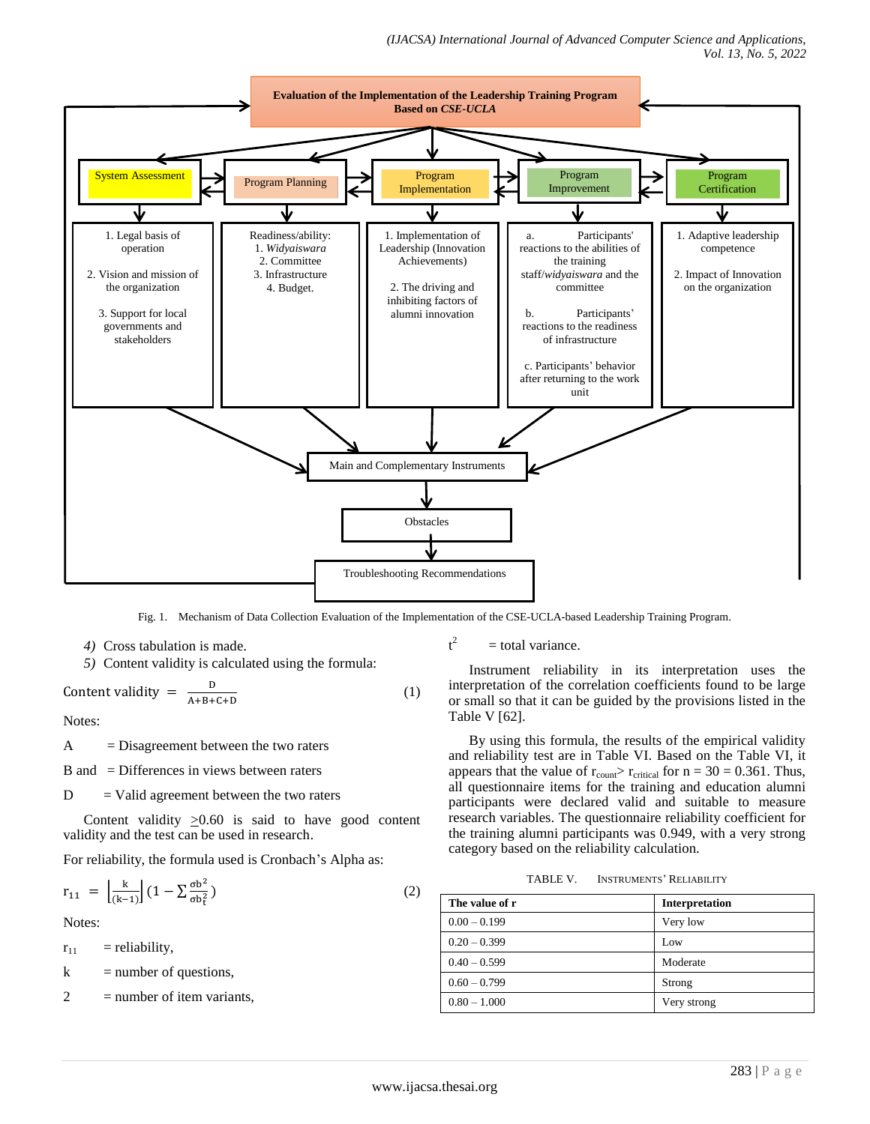

Fig. 1. Mechanism of Data Collection Evaluation of the Implementation of the CSE-UCLA-based Leadership Training Program.

- *4)* Cross tabulation is made.
- *5)* Content validity is calculated using the formula:

$$
Content validity = \frac{D}{A+B+C+D}
$$
 (1)

Notes:

 $A = Disagreement between the two raters$ 

 $B$  and  $=$  Differences in views between raters

 $D =$  Valid agreement between the two raters

Content validity  $>0.60$  is said to have good content validity and the test can be used in research.

For reliability, the formula used is Cronbach's Alpha as:

$$
r_{11} = \left[\frac{k}{(k-1)}\right] \left(1 - \sum \frac{\sigma b^2}{\sigma b_t^2}\right) \tag{2}
$$

Notes:

 $r_{11}$  = reliability,

 $k$  = number of questions,

 $2 =$  number of item variants,

 $t^2$ = total variance.

Instrument reliability in its interpretation uses the interpretation of the correlation coefficients found to be large or small so that it can be guided by the provisions listed in the Table V [62].

By using this formula, the results of the empirical validity and reliability test are in Table VI. Based on the Table VI, it appears that the value of  $r_{\text{count}}$   $\ge$   $r_{\text{critical}}$  for  $n = 30 = 0.361$ . Thus, all questionnaire items for the training and education alumni participants were declared valid and suitable to measure research variables. The questionnaire reliability coefficient for the training alumni participants was 0.949, with a very strong category based on the reliability calculation.

TABLE V. INSTRUMENTS' RELIABILITY

| The value of r | Interpretation |
|----------------|----------------|
| $0.00 - 0.199$ | Very low       |
| $0.20 - 0.399$ | Low            |
| $0.40 - 0.599$ | Moderate       |
| $0.60 - 0.799$ | Strong         |
| $0.80 - 1.000$ | Very strong    |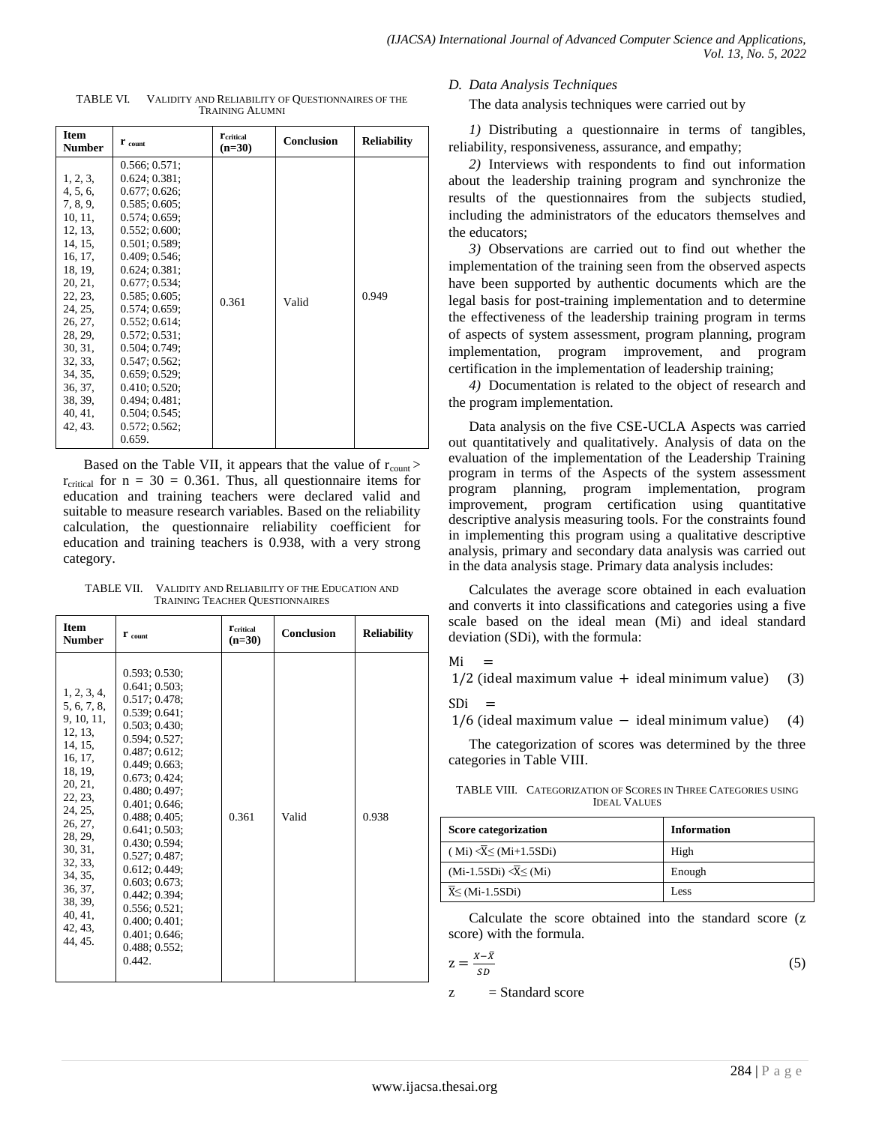| <b>Item</b><br><b>Number</b>                                                                                                                                                                                                | $\mathbf{r}$ count                                                                                                                                                                                                                                                                                                                                                           | <b>T</b> critical<br>$(n=30)$ | Conclusion | <b>Reliability</b> |  |
|-----------------------------------------------------------------------------------------------------------------------------------------------------------------------------------------------------------------------------|------------------------------------------------------------------------------------------------------------------------------------------------------------------------------------------------------------------------------------------------------------------------------------------------------------------------------------------------------------------------------|-------------------------------|------------|--------------------|--|
| 1, 2, 3,<br>4, 5, 6,<br>7, 8, 9,<br>10, 11,<br>12, 13,<br>14, 15,<br>16, 17,<br>18, 19,<br>20, 21,<br>22, 23,<br>24, 25,<br>26, 27,<br>28, 29,<br>30, 31,<br>32, 33,<br>34, 35,<br>36, 37,<br>38, 39,<br>40, 41,<br>42, 43. | 0.566; 0.571;<br>0.624; 0.381;<br>0.677; 0.626;<br>0.585; 0.605;<br>0.574; 0.659;<br>0.552; 0.600;<br>0.501; 0.589;<br>0.409; 0.546;<br>0.624; 0.381;<br>0.677; 0.534;<br>0.585; 0.605;<br>0.574; 0.659;<br>0.552; 0.614;<br>0.572; 0.531;<br>0.504; 0.749;<br>$0.547:0.562$ ;<br>0.659; 0.529;<br>0.410; 0.520;<br>0.494:0.481:<br>0.504; 0.545;<br>0.572; 0.562;<br>0.659. | 0.361                         | Valid      | 0.949              |  |

TABLE VI. VALIDITY AND RELIABILITY OF QUESTIONNAIRES OF THE TRAINING ALUMNI

Based on the Table VII, it appears that the value of  $r_{\text{count}}$  >  $r_{critical}$  for  $n = 30 = 0.361$ . Thus, all questionnaire items for education and training teachers were declared valid and suitable to measure research variables. Based on the reliability calculation, the questionnaire reliability coefficient for education and training teachers is 0.938, with a very strong category.

| TABLE VII. | VALIDITY AND RELIABILITY OF THE EDUCATION AND |
|------------|-----------------------------------------------|
|            | <b>TRAINING TEACHER QUESTIONNAIRES</b>        |

| <b>Item</b><br><b>Number</b>                                                                                                                                                                                                        | $\mathbf{r}_{\text{count}}$                                                                                                                                                                                                                                                                                                                                                          | <b>T</b> critical<br>$(n=30)$ | Conclusion | <b>Reliability</b> |
|-------------------------------------------------------------------------------------------------------------------------------------------------------------------------------------------------------------------------------------|--------------------------------------------------------------------------------------------------------------------------------------------------------------------------------------------------------------------------------------------------------------------------------------------------------------------------------------------------------------------------------------|-------------------------------|------------|--------------------|
| 1, 2, 3, 4,<br>5, 6, 7, 8,<br>9, 10, 11,<br>12, 13,<br>14, 15,<br>16, 17,<br>18, 19,<br>20, 21,<br>22, 23,<br>24, 25,<br>26, 27,<br>28, 29,<br>30, 31,<br>32, 33,<br>34, 35,<br>36, 37,<br>38, 39,<br>40, 41,<br>42, 43,<br>44, 45. | 0.593; 0.530;<br>0.641:0.503:<br>0.517:0.478:<br>0.539; 0.641;<br>0.503; 0.430;<br>0.594; 0.527;<br>0.487:0.612:<br>0.449:0.663<br>0.673:0.424:<br>0.480; 0.497;<br>0.401:0.646:<br>0.488; 0.405;<br>0.641:0.503:<br>0.430; 0.594;<br>0.527; 0.487;<br>0.612; 0.449;<br>0.603; 0.673;<br>0.442; 0.394;<br>0.556; 0.521;<br>0.400; 0.401;<br>0.401; 0.646;<br>0.488; 0.552;<br>0.442. | 0.361                         | Valid      | 0.938              |

#### *D. Data Analysis Techniques*

The data analysis techniques were carried out by

*1)* Distributing a questionnaire in terms of tangibles, reliability, responsiveness, assurance, and empathy;

*2)* Interviews with respondents to find out information about the leadership training program and synchronize the results of the questionnaires from the subjects studied, including the administrators of the educators themselves and the educators;

*3)* Observations are carried out to find out whether the implementation of the training seen from the observed aspects have been supported by authentic documents which are the legal basis for post-training implementation and to determine the effectiveness of the leadership training program in terms of aspects of system assessment, program planning, program implementation, program improvement, and program certification in the implementation of leadership training;

*4)* Documentation is related to the object of research and the program implementation.

Data analysis on the five CSE-UCLA Aspects was carried out quantitatively and qualitatively. Analysis of data on the evaluation of the implementation of the Leadership Training program in terms of the Aspects of the system assessment program planning, program implementation, program improvement, program certification using quantitative descriptive analysis measuring tools. For the constraints found in implementing this program using a qualitative descriptive analysis, primary and secondary data analysis was carried out in the data analysis stage. Primary data analysis includes:

Calculates the average score obtained in each evaluation and converts it into classifications and categories using a five scale based on the ideal mean (Mi) and ideal standard deviation (SDi), with the formula:

#### Mi  $\overline{\phantom{m}}$

 $1/2$  (ideal maximum value + ideal minimum value) (3)  $SDi =$ 

 $1/6$  (ideal maximum value  $-$  ideal minimum value) (4)

The categorization of scores was determined by the three categories in Table VIII.

| TABLE VIII. CATEGORIZATION OF SCORES IN THREE CATEGORIES USING |
|----------------------------------------------------------------|
| <b>IDEAL VALUES</b>                                            |

| <b>Score categorization</b>              | <b>Information</b> |  |  |
|------------------------------------------|--------------------|--|--|
| $(Mi) < \overline{X} \leq (Mi + 1.5SDi)$ | High               |  |  |
| $(Mi-1.5SDi) < \overline{X} \leq (Mi)$   | Enough             |  |  |
| $\overline{X} \leq (Mi-1.5SDi)$          | Less               |  |  |

Calculate the score obtained into the standard score (z score) with the formula.

$$
z = \frac{x - \bar{x}}{s} \tag{5}
$$

 $z =$ Standard score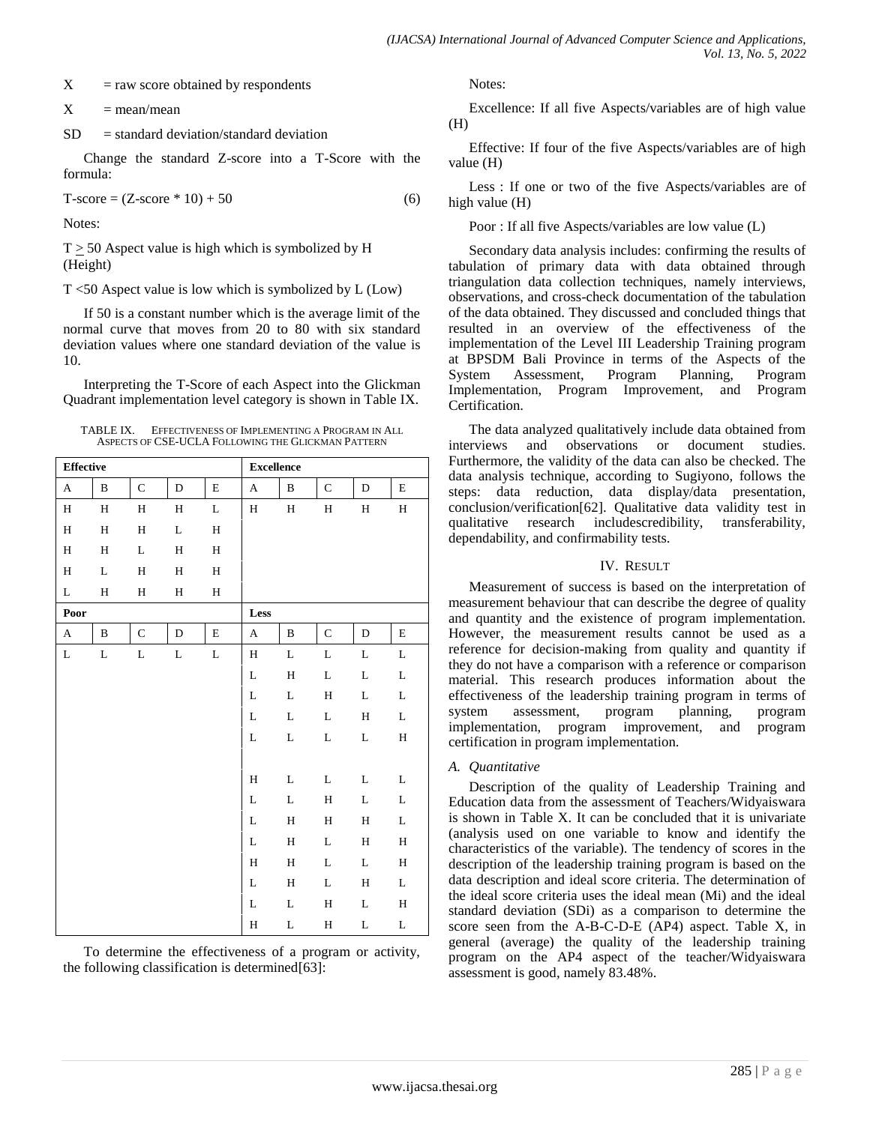$X = raw score obtained by respondents$ 

 $X = \text{mean}/\text{mean}$ 

 $SD = standard deviation/standard deviation$ 

Change the standard Z-score into a T-Score with the formula:

 $T-score = (Z-score * 10) + 50$  (6)

Notes:

 $T \geq 50$  Aspect value is high which is symbolized by H (Height)

T <50 Aspect value is low which is symbolized by L (Low)

If 50 is a constant number which is the average limit of the normal curve that moves from 20 to 80 with six standard deviation values where one standard deviation of the value is 10.

Interpreting the T-Score of each Aspect into the Glickman Quadrant implementation level category is shown in Table IX.

TABLE IX. EFFECTIVENESS OF IMPLEMENTING A PROGRAM IN ALL ASPECTS OF CSE-UCLA FOLLOWING THE GLICKMAN PATTERN

| <b>Effective</b> |              |              |              | <b>Excellence</b> |                       |              |              |              |              |
|------------------|--------------|--------------|--------------|-------------------|-----------------------|--------------|--------------|--------------|--------------|
| $\mathbf A$      | $\, {\bf B}$ | ${\bf C}$    | $\mathbf D$  | $\mathbf E$       | A                     | $\, {\bf B}$ | ${\bf C}$    | $\mathbf D$  | $\mathbf E$  |
| $\, {\rm H}$     | $\, {\rm H}$ | $\, {\rm H}$ | $\, {\rm H}$ | L                 | H                     | $\, {\rm H}$ | $\, {\rm H}$ | H            | $\, {\rm H}$ |
| $\rm H$          | $\, {\rm H}$ | $\rm H$      | $\mathbf L$  | $\, {\rm H}$      |                       |              |              |              |              |
| $\, {\rm H}$     | $\, {\rm H}$ | L            | $\, {\rm H}$ | $\, {\rm H}$      |                       |              |              |              |              |
| $\rm H$          | L            | $\, {\rm H}$ | $\, {\rm H}$ | $\, {\rm H}$      |                       |              |              |              |              |
| L                | $\rm H$      | $\, {\rm H}$ | $\rm H$      | $\, {\rm H}$      |                       |              |              |              |              |
| Poor             |              |              |              |                   | Less                  |              |              |              |              |
| $\mathbf A$      | $\, {\bf B}$ | $\mathbf C$  | $\mathbf D$  | $\mathbf E$       | $\boldsymbol{\rm{A}}$ | $\, {\bf B}$ | $\mathbf C$  | $\mathbf D$  | $\mathbf E$  |
| L                | $\mathbf L$  | L            | $\mathbf L$  | $\mathbf L$       | $\rm H$               | L            | L            | L            | L            |
|                  |              |              |              |                   | $\mathbf L$           | $\rm H$      | L            | L            | $\mathbf L$  |
|                  |              |              |              |                   | L                     | L            | $\, {\rm H}$ | L            | L            |
|                  |              |              |              |                   | L                     | $\mathbf L$  | L            | $\, {\rm H}$ | L            |
|                  |              |              |              |                   | L                     | L            | L            | L            | $\, {\rm H}$ |
|                  |              |              |              |                   |                       |              |              |              |              |
|                  |              |              |              |                   | $\rm H$               | $\mathbf L$  | L            | L            | L            |
|                  |              |              |              |                   | L                     | L            | H            | L            | L            |
|                  |              |              |              |                   | $\mathbf L$           | $\rm H$      | $\rm H$      | $\, {\rm H}$ | L            |
|                  |              |              |              |                   | L                     | $\, {\rm H}$ | L            | $\, {\rm H}$ | $\, {\rm H}$ |
|                  |              |              |              |                   | $\mathbf H$           | H            | L            | L            | $\, {\rm H}$ |
|                  |              |              |              |                   | $\mathbf L$           | $\rm H$      | L            | $\rm H$      | L            |
|                  |              |              |              |                   | L                     | L            | $\rm H$      | L            | $\rm H$      |
|                  |              |              |              |                   | H                     | L            | H            | L            | L            |

To determine the effectiveness of a program or activity, the following classification is determined[63]:

Notes:

Excellence: If all five Aspects/variables are of high value (H)

Effective: If four of the five Aspects/variables are of high value (H)

Less : If one or two of the five Aspects/variables are of high value (H)

Poor : If all five Aspects/variables are low value (L)

Secondary data analysis includes: confirming the results of tabulation of primary data with data obtained through triangulation data collection techniques, namely interviews, observations, and cross-check documentation of the tabulation of the data obtained. They discussed and concluded things that resulted in an overview of the effectiveness of the implementation of the Level III Leadership Training program at BPSDM Bali Province in terms of the Aspects of the System Assessment, Program Planning, Program Implementation, Program Improvement, and Program Certification.

The data analyzed qualitatively include data obtained from interviews and observations or document studies. Furthermore, the validity of the data can also be checked. The data analysis technique, according to Sugiyono, follows the steps: data reduction, data display/data presentation, conclusion/verification[62]. Qualitative data validity test in qualitative research includescredibility, transferability, dependability, and confirmability tests.

#### IV. RESULT

Measurement of success is based on the interpretation of measurement behaviour that can describe the degree of quality and quantity and the existence of program implementation. However, the measurement results cannot be used as a reference for decision-making from quality and quantity if they do not have a comparison with a reference or comparison material. This research produces information about the effectiveness of the leadership training program in terms of system assessment, program planning, program implementation, program improvement, and program certification in program implementation.

# *A. Quantitative*

Description of the quality of Leadership Training and Education data from the assessment of Teachers/Widyaiswara is shown in Table X. It can be concluded that it is univariate (analysis used on one variable to know and identify the characteristics of the variable). The tendency of scores in the description of the leadership training program is based on the data description and ideal score criteria. The determination of the ideal score criteria uses the ideal mean (Mi) and the ideal standard deviation (SDi) as a comparison to determine the score seen from the A-B-C-D-E (AP4) aspect. Table X, in general (average) the quality of the leadership training program on the AP4 aspect of the teacher/Widyaiswara assessment is good, namely 83.48%.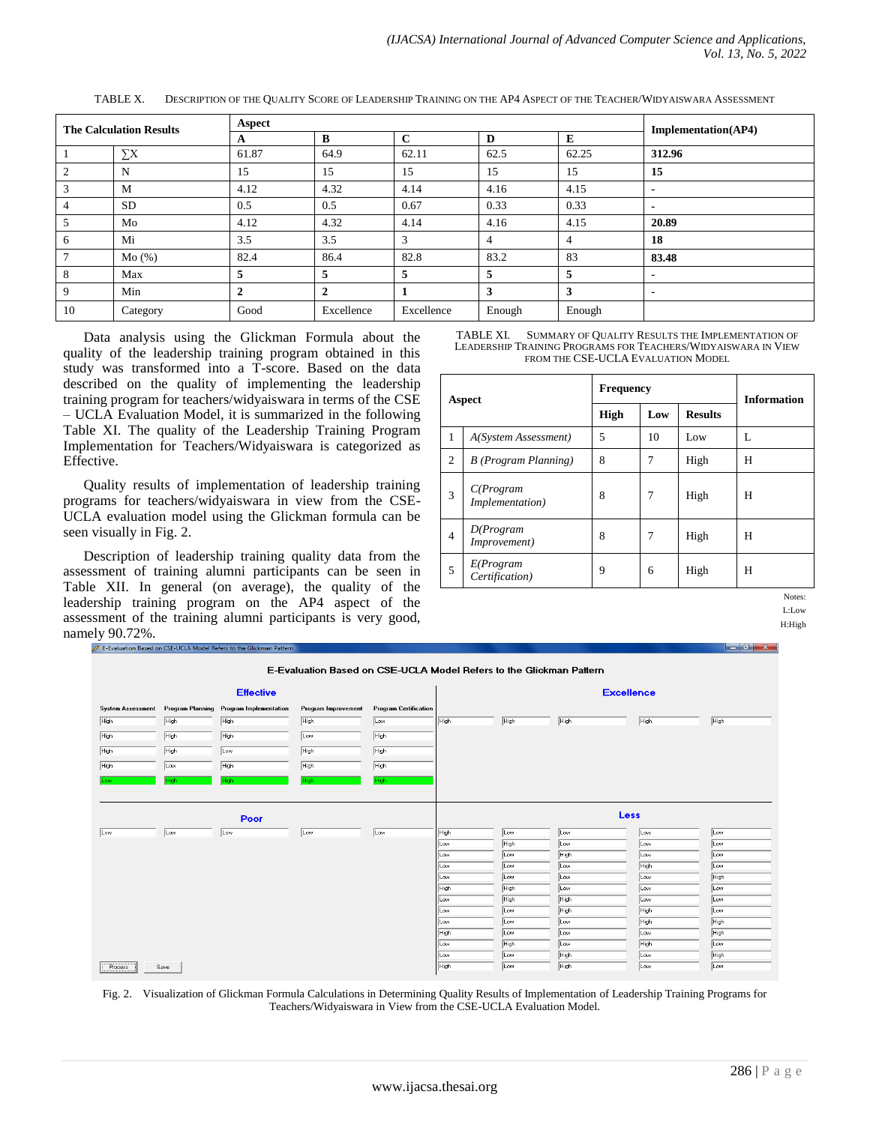| <b>The Calculation Results</b> |           | Aspect       |                |             |        |        | Implementation(AP4) |
|--------------------------------|-----------|--------------|----------------|-------------|--------|--------|---------------------|
|                                |           | A            | B              | $\mathbf C$ | D      | E      |                     |
|                                | $\sum X$  | 61.87        | 64.9           | 62.11       | 62.5   | 62.25  | 312.96              |
| 2                              | N         | 15           | 15             | 15          | 15     | 15     | 15                  |
| $\overline{3}$                 | M         | 4.12         | 4.32           | 4.14        | 4.16   | 4.15   |                     |
| $\overline{4}$                 | <b>SD</b> | 0.5          | 0.5            | 0.67        | 0.33   | 0.33   | $\blacksquare$      |
| 5                              | Mo        | 4.12         | 4.32           | 4.14        | 4.16   | 4.15   | 20.89               |
| 6                              | Mi        | 3.5          | 3.5            | 3           | 4      | 4      | 18                  |
| $7\phantom{.0}$                | Mo(%)     | 82.4         | 86.4           | 82.8        | 83.2   | 83     | 83.48               |
| 8                              | Max       | 5            | 5              | 5           | 5      | 5      |                     |
| 9                              | Min       | $\mathbf{2}$ | $\overline{2}$ |             | 3      | 3      |                     |
| 10                             | Category  | Good         | Excellence     | Excellence  | Enough | Enough |                     |

TABLE X. DESCRIPTION OF THE QUALITY SCORE OF LEADERSHIP TRAINING ON THE AP4 ASPECT OF THE TEACHER/WIDYAISWARA ASSESSMENT

Data analysis using the Glickman Formula about the quality of the leadership training program obtained in this study was transformed into a T-score. Based on the data described on the quality of implementing the leadership training program for teachers/widyaiswara in terms of the CSE – UCLA Evaluation Model, it is summarized in the following Table XI. The quality of the Leadership Training Program Implementation for Teachers/Widyaiswara is categorized as Effective.

Quality results of implementation of leadership training programs for teachers/widyaiswara in view from the CSE-UCLA evaluation model using the Glickman formula can be seen visually in Fig. 2.

Description of leadership training quality data from the assessment of training alumni participants can be seen in Table XII. In general (on average), the quality of the leadership training program on the AP4 aspect of the assessment of the training alumni participants is very good, namely 90.72%.<br> *A* E-Evaluation Based on CSE-UCLA Model Refers to the Glickman Pat

TABLE XI. SUMMARY OF QUALITY RESULTS THE IMPLEMENTATION OF LEADERSHIP TRAINING PROGRAMS FOR TEACHERS/WIDYAISWARA IN VIEW FROM THE CSE*-*UCLA EVALUATION MODEL

| Aspect |                                      | <b>Frequency</b> |     | <b>Information</b> |   |
|--------|--------------------------------------|------------------|-----|--------------------|---|
|        |                                      | High             | Low | <b>Results</b>     |   |
| 1      | A(System Assessment)                 | 5                | 10  | Low                | L |
| 2      | B (Program Planning)                 | 8                | 7   | High               | H |
| 3      | C(Program<br><i>Implementation</i> ) | 8                | 7   | High               | H |
| 4      | D(Program<br>Improvement)            | 8                | 7   | High               | H |
| 5      | E(Program<br>Certification)          | 9                | 6   | High               | H |

Notes: L:Low

H:High



Fig. 2. Visualization of Glickman Formula Calculations in Determining Quality Results of Implementation of Leadership Training Programs for Teachers/Widyaiswara in View from the CSE-UCLA Evaluation Model.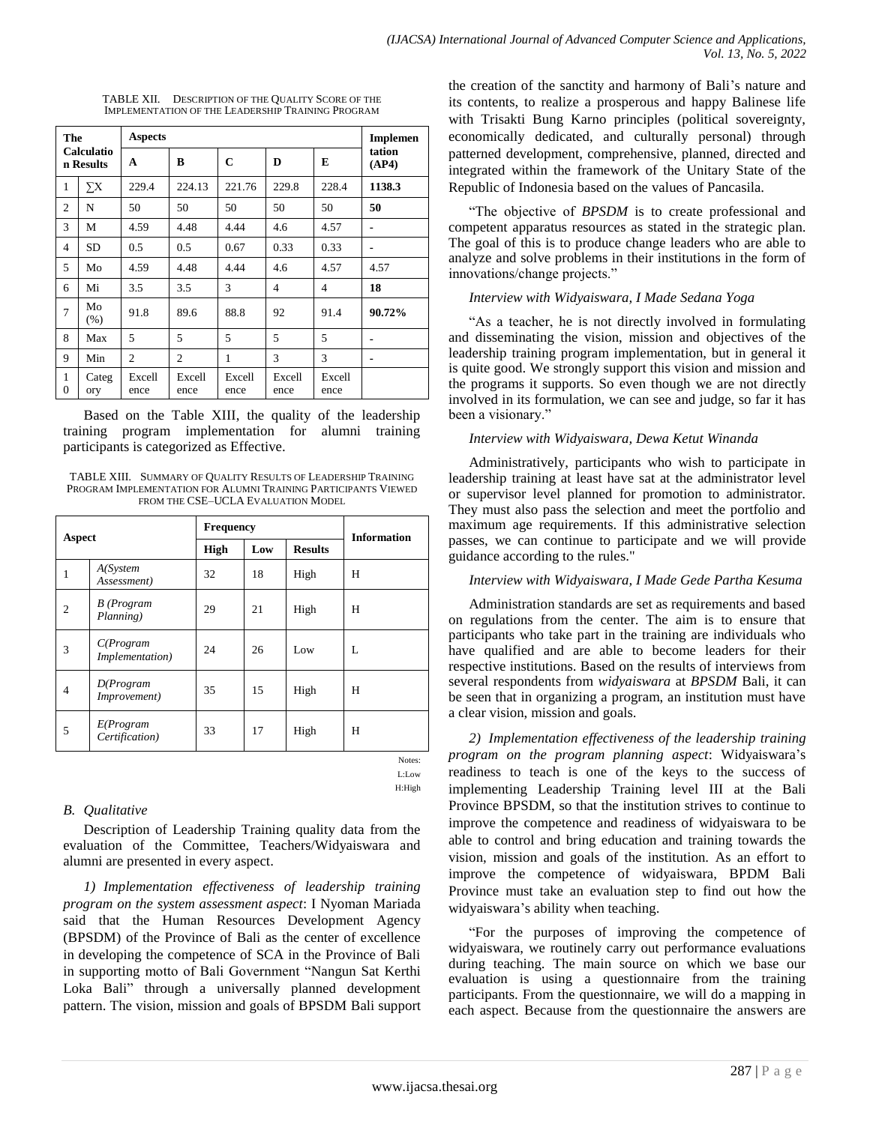| The<br><b>Calculatio</b><br>n Results |               | <b>Aspects</b> | <b>Implemen</b> |                |                |                |                 |
|---------------------------------------|---------------|----------------|-----------------|----------------|----------------|----------------|-----------------|
|                                       |               | A              | B               | C              | D              | E              | tation<br>(AP4) |
| $\mathbf{1}$                          | $\Sigma X$    | 229.4          | 224.13          | 221.76         | 229.8          | 228.4          | 1138.3          |
| $\overline{2}$                        | N             | 50             | 50              | 50             | 50             | 50             | 50              |
| 3                                     | M             | 4.59           | 4.48            | 4.44           | 4.6            | 4.57           | $\blacksquare$  |
| $\overline{4}$                        | <b>SD</b>     | 0.5            | 0.5             | 0.67           | 0.33           | 0.33           | $\blacksquare$  |
| 5                                     | Mo            | 4.59           | 4.48            | 4.44           | 4.6            | 4.57           | 4.57            |
| 6                                     | Mi            | 3.5            | 3.5             | 3              | 4              | $\overline{4}$ | 18              |
| $\overline{7}$                        | Mo<br>$(\% )$ | 91.8           | 89.6            | 88.8           | 92             | 91.4           | 90.72%          |
| 8                                     | Max           | 5              | 5               | 5              | 5              | 5              | $\blacksquare$  |
| 9                                     | Min           | $\overline{c}$ | $\overline{c}$  | 1              | 3              | 3              | $\blacksquare$  |
| 1<br>$\Omega$                         | Categ<br>ory  | Excell<br>ence | Excell<br>ence  | Excell<br>ence | Excell<br>ence | Excell<br>ence |                 |

TABLE XII. DESCRIPTION OF THE QUALITY SCORE OF THE IMPLEMENTATION OF THE LEADERSHIP TRAINING PROGRAM

Based on the Table XIII, the quality of the leadership training program implementation for alumni training participants is categorized as Effective.

TABLE XIII. SUMMARY OF QUALITY RESULTS OF LEADERSHIP TRAINING PROGRAM IMPLEMENTATION FOR ALUMNI TRAINING PARTICIPANTS VIEWED FROM THE CSE–UCLA EVALUATION MODEL

| Aspect         |                              | <b>Frequency</b>   |    | <b>Information</b> |                |
|----------------|------------------------------|--------------------|----|--------------------|----------------|
|                |                              | <b>High</b><br>Low |    |                    | <b>Results</b> |
| 1              | A(System<br>Assessment)      | 32                 | 18 | High               | H              |
| $\overline{2}$ | B (Program<br>Planning)      | 29                 | 21 | High               | H              |
| 3              | C(Program<br>Implementation) | 24                 | 26 | Low                | L              |
| $\overline{4}$ | D(Program<br>Improvement)    | 35                 | 15 | High               | H              |
| 5              | E(Program<br>Certification)  | 33                 | 17 | High               | H              |

Notes: L:Low H:High

# *B. Qualitative*

Description of Leadership Training quality data from the evaluation of the Committee, Teachers/Widyaiswara and alumni are presented in every aspect.

*1) Implementation effectiveness of leadership training program on the system assessment aspect*: I Nyoman Mariada said that the Human Resources Development Agency (BPSDM) of the Province of Bali as the center of excellence in developing the competence of SCA in the Province of Bali in supporting motto of Bali Government "Nangun Sat Kerthi Loka Bali" through a universally planned development pattern. The vision, mission and goals of BPSDM Bali support the creation of the sanctity and harmony of Bali's nature and its contents, to realize a prosperous and happy Balinese life with Trisakti Bung Karno principles (political sovereignty, economically dedicated, and culturally personal) through patterned development, comprehensive, planned, directed and integrated within the framework of the Unitary State of the Republic of Indonesia based on the values of Pancasila.

"The objective of *BPSDM* is to create professional and competent apparatus resources as stated in the strategic plan. The goal of this is to produce change leaders who are able to analyze and solve problems in their institutions in the form of innovations/change projects."

# *Interview with Widyaiswara, I Made Sedana Yoga*

―As a teacher, he is not directly involved in formulating and disseminating the vision, mission and objectives of the leadership training program implementation, but in general it is quite good. We strongly support this vision and mission and the programs it supports. So even though we are not directly involved in its formulation, we can see and judge, so far it has been a visionary."

# *Interview with Widyaiswara, Dewa Ketut Winanda*

Administratively, participants who wish to participate in leadership training at least have sat at the administrator level or supervisor level planned for promotion to administrator. They must also pass the selection and meet the portfolio and maximum age requirements. If this administrative selection passes, we can continue to participate and we will provide guidance according to the rules."

# *Interview with Widyaiswara, I Made Gede Partha Kesuma*

Administration standards are set as requirements and based on regulations from the center. The aim is to ensure that participants who take part in the training are individuals who have qualified and are able to become leaders for their respective institutions. Based on the results of interviews from several respondents from *widyaiswara* at *BPSDM* Bali, it can be seen that in organizing a program, an institution must have a clear vision, mission and goals.

*2) Implementation effectiveness of the leadership training program on the program planning aspect*: Widyaiswara's readiness to teach is one of the keys to the success of implementing Leadership Training level III at the Bali Province BPSDM, so that the institution strives to continue to improve the competence and readiness of widyaiswara to be able to control and bring education and training towards the vision, mission and goals of the institution. As an effort to improve the competence of widyaiswara, BPDM Bali Province must take an evaluation step to find out how the widyaiswara's ability when teaching.

―For the purposes of improving the competence of widyaiswara, we routinely carry out performance evaluations during teaching. The main source on which we base our evaluation is using a questionnaire from the training participants. From the questionnaire, we will do a mapping in each aspect. Because from the questionnaire the answers are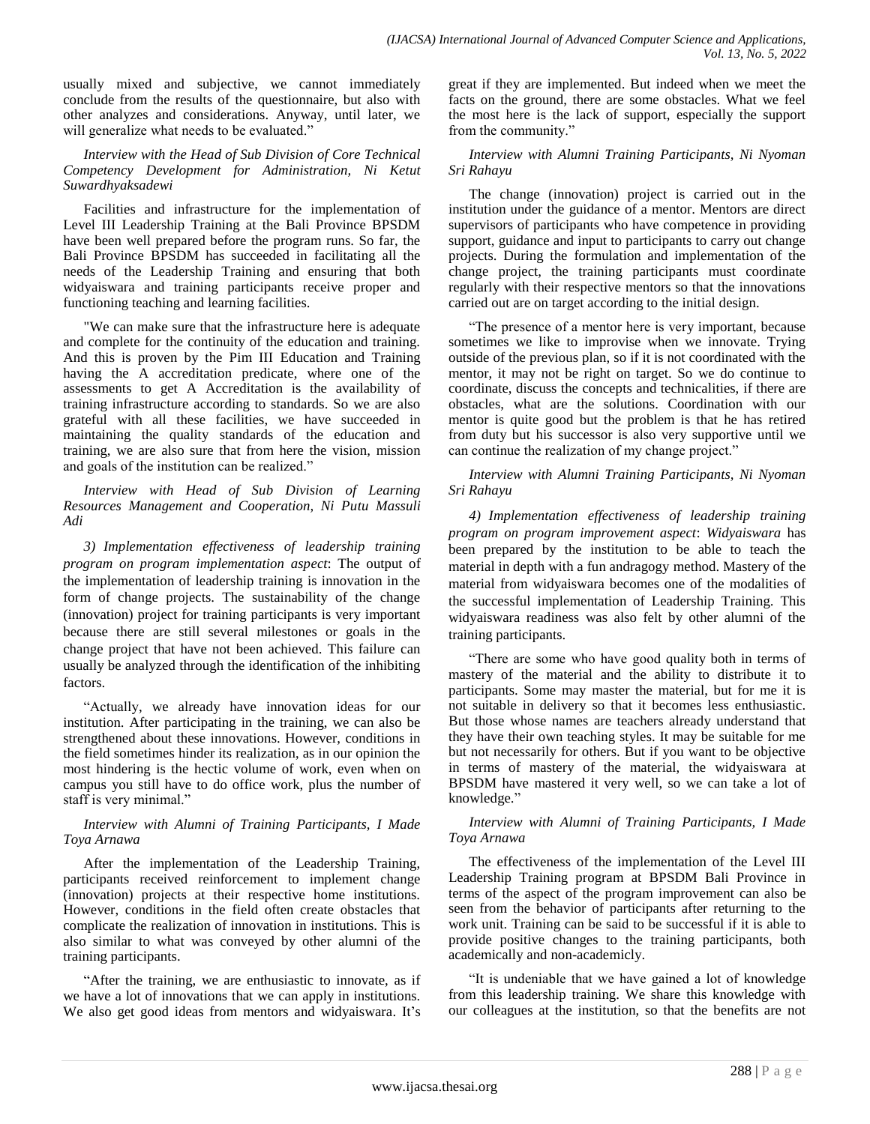usually mixed and subjective, we cannot immediately conclude from the results of the questionnaire, but also with other analyzes and considerations. Anyway, until later, we will generalize what needs to be evaluated."

*Interview with the Head of Sub Division of Core Technical Competency Development for Administration, Ni Ketut Suwardhyaksadewi*

Facilities and infrastructure for the implementation of Level III Leadership Training at the Bali Province BPSDM have been well prepared before the program runs. So far, the Bali Province BPSDM has succeeded in facilitating all the needs of the Leadership Training and ensuring that both widyaiswara and training participants receive proper and functioning teaching and learning facilities.

"We can make sure that the infrastructure here is adequate and complete for the continuity of the education and training. And this is proven by the Pim III Education and Training having the A accreditation predicate, where one of the assessments to get A Accreditation is the availability of training infrastructure according to standards. So we are also grateful with all these facilities, we have succeeded in maintaining the quality standards of the education and training, we are also sure that from here the vision, mission and goals of the institution can be realized."

*Interview with Head of Sub Division of Learning Resources Management and Cooperation, Ni Putu Massuli Adi*

*3) Implementation effectiveness of leadership training program on program implementation aspect*: The output of the implementation of leadership training is innovation in the form of change projects. The sustainability of the change (innovation) project for training participants is very important because there are still several milestones or goals in the change project that have not been achieved. This failure can usually be analyzed through the identification of the inhibiting factors.

―Actually, we already have innovation ideas for our institution. After participating in the training, we can also be strengthened about these innovations. However, conditions in the field sometimes hinder its realization, as in our opinion the most hindering is the hectic volume of work, even when on campus you still have to do office work, plus the number of staff is very minimal."

#### *Interview with Alumni of Training Participants, I Made Toya Arnawa*

After the implementation of the Leadership Training, participants received reinforcement to implement change (innovation) projects at their respective home institutions. However, conditions in the field often create obstacles that complicate the realization of innovation in institutions. This is also similar to what was conveyed by other alumni of the training participants.

―After the training, we are enthusiastic to innovate, as if we have a lot of innovations that we can apply in institutions. We also get good ideas from mentors and widyaiswara. It's great if they are implemented. But indeed when we meet the facts on the ground, there are some obstacles. What we feel the most here is the lack of support, especially the support from the community."

# *Interview with Alumni Training Participants, Ni Nyoman Sri Rahayu*

The change (innovation) project is carried out in the institution under the guidance of a mentor. Mentors are direct supervisors of participants who have competence in providing support, guidance and input to participants to carry out change projects. During the formulation and implementation of the change project, the training participants must coordinate regularly with their respective mentors so that the innovations carried out are on target according to the initial design.

―The presence of a mentor here is very important, because sometimes we like to improvise when we innovate. Trying outside of the previous plan, so if it is not coordinated with the mentor, it may not be right on target. So we do continue to coordinate, discuss the concepts and technicalities, if there are obstacles, what are the solutions. Coordination with our mentor is quite good but the problem is that he has retired from duty but his successor is also very supportive until we can continue the realization of my change project."

*Interview with Alumni Training Participants, Ni Nyoman Sri Rahayu*

*4) Implementation effectiveness of leadership training program on program improvement aspect*: *Widyaiswara* has been prepared by the institution to be able to teach the material in depth with a fun andragogy method. Mastery of the material from widyaiswara becomes one of the modalities of the successful implementation of Leadership Training. This widyaiswara readiness was also felt by other alumni of the training participants.

―There are some who have good quality both in terms of mastery of the material and the ability to distribute it to participants. Some may master the material, but for me it is not suitable in delivery so that it becomes less enthusiastic. But those whose names are teachers already understand that they have their own teaching styles. It may be suitable for me but not necessarily for others. But if you want to be objective in terms of mastery of the material, the widyaiswara at BPSDM have mastered it very well, so we can take a lot of knowledge."

# *Interview with Alumni of Training Participants, I Made Toya Arnawa*

The effectiveness of the implementation of the Level III Leadership Training program at BPSDM Bali Province in terms of the aspect of the program improvement can also be seen from the behavior of participants after returning to the work unit. Training can be said to be successful if it is able to provide positive changes to the training participants, both academically and non-academicly.

"It is undeniable that we have gained a lot of knowledge from this leadership training. We share this knowledge with our colleagues at the institution, so that the benefits are not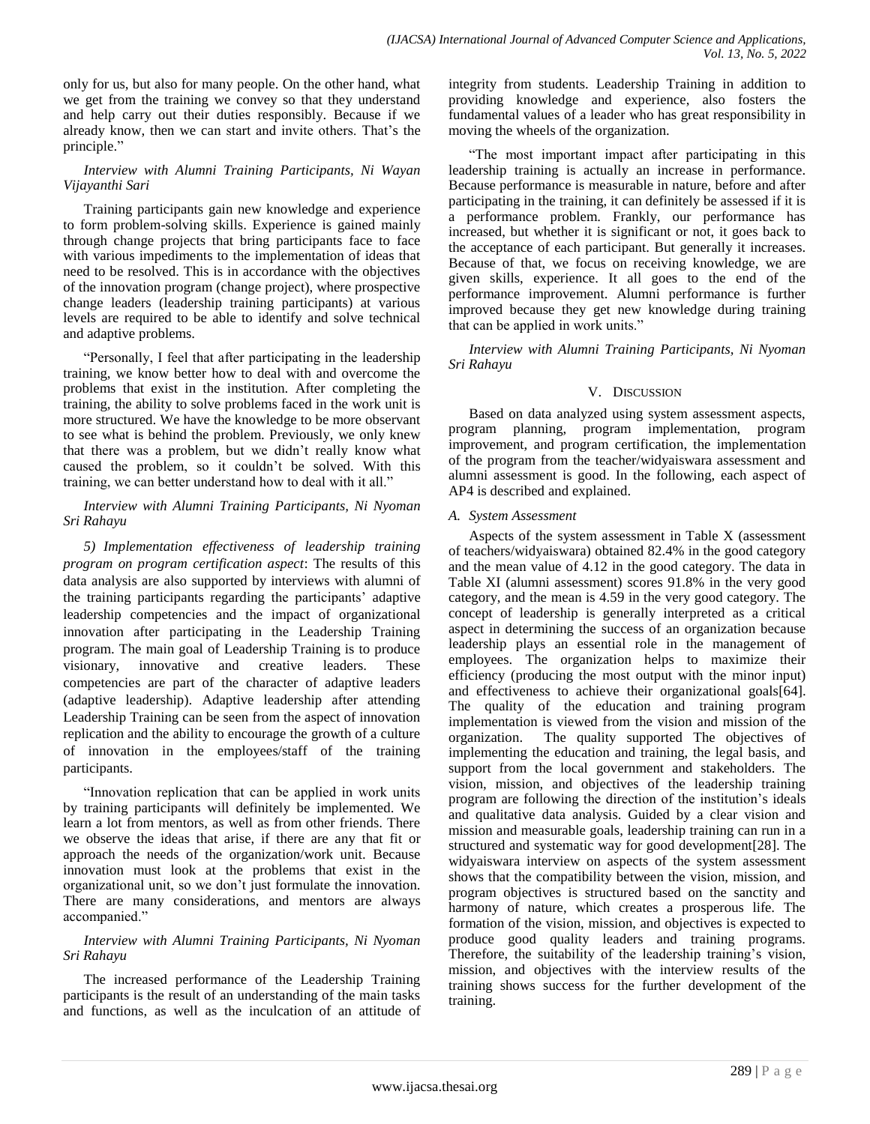only for us, but also for many people. On the other hand, what we get from the training we convey so that they understand and help carry out their duties responsibly. Because if we already know, then we can start and invite others. That's the principle."

# *Interview with Alumni Training Participants, Ni Wayan Vijayanthi Sari*

Training participants gain new knowledge and experience to form problem-solving skills. Experience is gained mainly through change projects that bring participants face to face with various impediments to the implementation of ideas that need to be resolved. This is in accordance with the objectives of the innovation program (change project), where prospective change leaders (leadership training participants) at various levels are required to be able to identify and solve technical and adaptive problems.

"Personally, I feel that after participating in the leadership training, we know better how to deal with and overcome the problems that exist in the institution. After completing the training, the ability to solve problems faced in the work unit is more structured. We have the knowledge to be more observant to see what is behind the problem. Previously, we only knew that there was a problem, but we didn't really know what caused the problem, so it couldn't be solved. With this training, we can better understand how to deal with it all."

#### *Interview with Alumni Training Participants, Ni Nyoman Sri Rahayu*

*5) Implementation effectiveness of leadership training program on program certification aspect*: The results of this data analysis are also supported by interviews with alumni of the training participants regarding the participants' adaptive leadership competencies and the impact of organizational innovation after participating in the Leadership Training program. The main goal of Leadership Training is to produce visionary, innovative and creative leaders. These competencies are part of the character of adaptive leaders (adaptive leadership). Adaptive leadership after attending Leadership Training can be seen from the aspect of innovation replication and the ability to encourage the growth of a culture of innovation in the employees/staff of the training participants.

"Innovation replication that can be applied in work units by training participants will definitely be implemented. We learn a lot from mentors, as well as from other friends. There we observe the ideas that arise, if there are any that fit or approach the needs of the organization/work unit. Because innovation must look at the problems that exist in the organizational unit, so we don't just formulate the innovation. There are many considerations, and mentors are always accompanied."

# *Interview with Alumni Training Participants, Ni Nyoman Sri Rahayu*

The increased performance of the Leadership Training participants is the result of an understanding of the main tasks and functions, as well as the inculcation of an attitude of integrity from students. Leadership Training in addition to providing knowledge and experience, also fosters the fundamental values of a leader who has great responsibility in moving the wheels of the organization.

"The most important impact after participating in this leadership training is actually an increase in performance. Because performance is measurable in nature, before and after participating in the training, it can definitely be assessed if it is a performance problem. Frankly, our performance has increased, but whether it is significant or not, it goes back to the acceptance of each participant. But generally it increases. Because of that, we focus on receiving knowledge, we are given skills, experience. It all goes to the end of the performance improvement. Alumni performance is further improved because they get new knowledge during training that can be applied in work units."

*Interview with Alumni Training Participants, Ni Nyoman Sri Rahayu*

# V. DISCUSSION

Based on data analyzed using system assessment aspects, program planning, program implementation, program improvement, and program certification, the implementation of the program from the teacher/widyaiswara assessment and alumni assessment is good. In the following, each aspect of AP4 is described and explained.

# *A. System Assessment*

Aspects of the system assessment in Table X (assessment of teachers/widyaiswara) obtained 82.4% in the good category and the mean value of 4.12 in the good category. The data in Table XI (alumni assessment) scores 91.8% in the very good category, and the mean is 4.59 in the very good category. The concept of leadership is generally interpreted as a critical aspect in determining the success of an organization because leadership plays an essential role in the management of employees. The organization helps to maximize their efficiency (producing the most output with the minor input) and effectiveness to achieve their organizational goals[64]. The quality of the education and training program implementation is viewed from the vision and mission of the organization. The quality supported The objectives of implementing the education and training, the legal basis, and support from the local government and stakeholders. The vision, mission, and objectives of the leadership training program are following the direction of the institution's ideals and qualitative data analysis. Guided by a clear vision and mission and measurable goals, leadership training can run in a structured and systematic way for good development[28]. The widyaiswara interview on aspects of the system assessment shows that the compatibility between the vision, mission, and program objectives is structured based on the sanctity and harmony of nature, which creates a prosperous life. The formation of the vision, mission, and objectives is expected to produce good quality leaders and training programs. Therefore, the suitability of the leadership training's vision, mission, and objectives with the interview results of the training shows success for the further development of the training.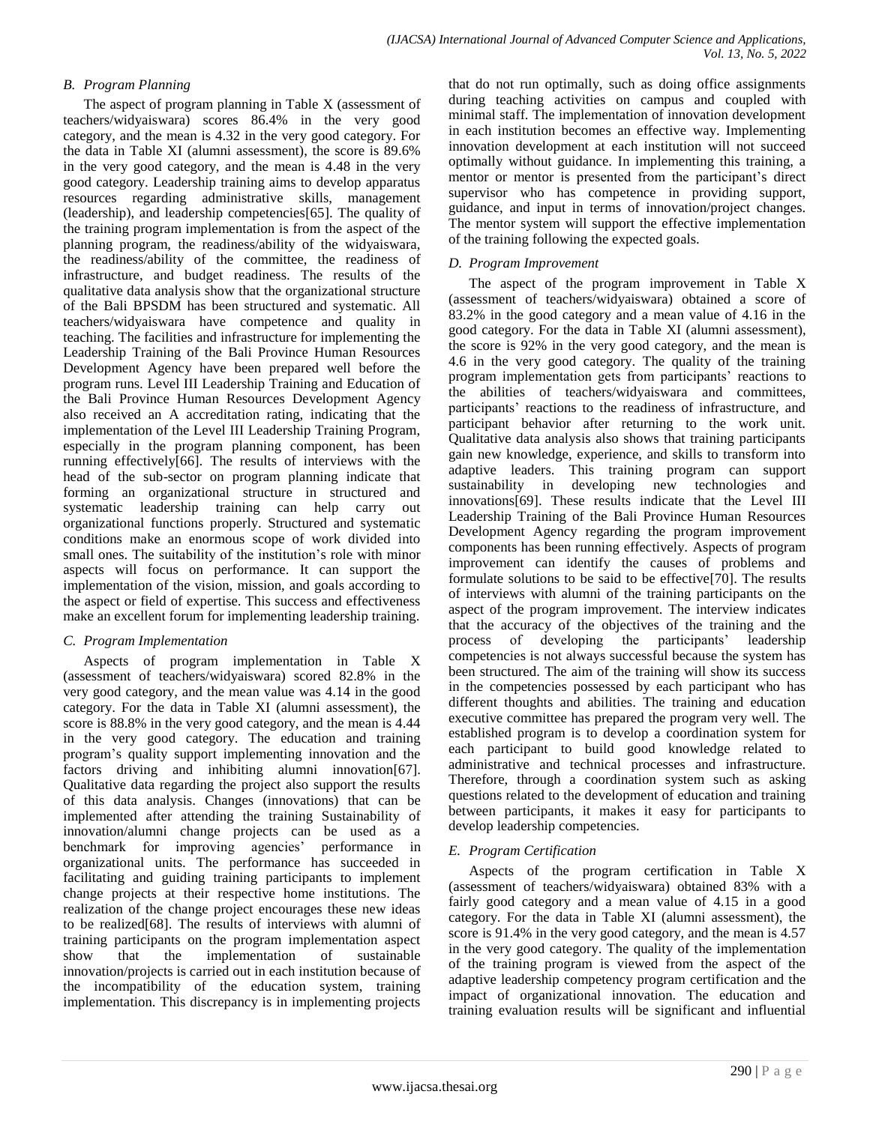# *B. Program Planning*

The aspect of program planning in Table X (assessment of teachers/widyaiswara) scores 86.4% in the very good category, and the mean is 4.32 in the very good category. For the data in Table XI (alumni assessment), the score is 89.6% in the very good category, and the mean is 4.48 in the very good category. Leadership training aims to develop apparatus resources regarding administrative skills, management (leadership), and leadership competencies[65]. The quality of the training program implementation is from the aspect of the planning program, the readiness/ability of the widyaiswara, the readiness/ability of the committee, the readiness of infrastructure, and budget readiness. The results of the qualitative data analysis show that the organizational structure of the Bali BPSDM has been structured and systematic. All teachers/widyaiswara have competence and quality in teaching. The facilities and infrastructure for implementing the Leadership Training of the Bali Province Human Resources Development Agency have been prepared well before the program runs. Level III Leadership Training and Education of the Bali Province Human Resources Development Agency also received an A accreditation rating, indicating that the implementation of the Level III Leadership Training Program, especially in the program planning component, has been running effectively[66]. The results of interviews with the head of the sub-sector on program planning indicate that forming an organizational structure in structured and systematic leadership training can help carry out organizational functions properly. Structured and systematic conditions make an enormous scope of work divided into small ones. The suitability of the institution's role with minor aspects will focus on performance. It can support the implementation of the vision, mission, and goals according to the aspect or field of expertise. This success and effectiveness make an excellent forum for implementing leadership training.

# *C. Program Implementation*

Aspects of program implementation in Table X (assessment of teachers/widyaiswara) scored 82.8% in the very good category, and the mean value was 4.14 in the good category. For the data in Table XI (alumni assessment), the score is 88.8% in the very good category, and the mean is 4.44 in the very good category. The education and training program's quality support implementing innovation and the factors driving and inhibiting alumni innovation[67]. Qualitative data regarding the project also support the results of this data analysis. Changes (innovations) that can be implemented after attending the training Sustainability of innovation/alumni change projects can be used as a benchmark for improving agencies' organizational units. The performance has succeeded in facilitating and guiding training participants to implement change projects at their respective home institutions. The realization of the change project encourages these new ideas to be realized[68]. The results of interviews with alumni of training participants on the program implementation aspect show that the implementation of sustainable innovation/projects is carried out in each institution because of the incompatibility of the education system, training implementation. This discrepancy is in implementing projects

that do not run optimally, such as doing office assignments during teaching activities on campus and coupled with minimal staff. The implementation of innovation development in each institution becomes an effective way. Implementing innovation development at each institution will not succeed optimally without guidance. In implementing this training, a mentor or mentor is presented from the participant's direct supervisor who has competence in providing support, guidance, and input in terms of innovation/project changes. The mentor system will support the effective implementation of the training following the expected goals.

# *D. Program Improvement*

The aspect of the program improvement in Table X (assessment of teachers/widyaiswara) obtained a score of 83.2% in the good category and a mean value of 4.16 in the good category. For the data in Table XI (alumni assessment), the score is 92% in the very good category, and the mean is 4.6 in the very good category. The quality of the training program implementation gets from participants' reactions to the abilities of teachers/widyaiswara and committees, participants' reactions to the readiness of infrastructure, and participant behavior after returning to the work unit. Qualitative data analysis also shows that training participants gain new knowledge, experience, and skills to transform into adaptive leaders. This training program can support sustainability in developing new technologies and innovations[69]. These results indicate that the Level III Leadership Training of the Bali Province Human Resources Development Agency regarding the program improvement components has been running effectively. Aspects of program improvement can identify the causes of problems and formulate solutions to be said to be effective[70]. The results of interviews with alumni of the training participants on the aspect of the program improvement. The interview indicates that the accuracy of the objectives of the training and the process of developing the participants' leadership competencies is not always successful because the system has been structured. The aim of the training will show its success in the competencies possessed by each participant who has different thoughts and abilities. The training and education executive committee has prepared the program very well. The established program is to develop a coordination system for each participant to build good knowledge related to administrative and technical processes and infrastructure. Therefore, through a coordination system such as asking questions related to the development of education and training between participants, it makes it easy for participants to develop leadership competencies.

# *E. Program Certification*

Aspects of the program certification in Table X (assessment of teachers/widyaiswara) obtained 83% with a fairly good category and a mean value of 4.15 in a good category. For the data in Table XI (alumni assessment), the score is 91.4% in the very good category, and the mean is 4.57 in the very good category. The quality of the implementation of the training program is viewed from the aspect of the adaptive leadership competency program certification and the impact of organizational innovation. The education and training evaluation results will be significant and influential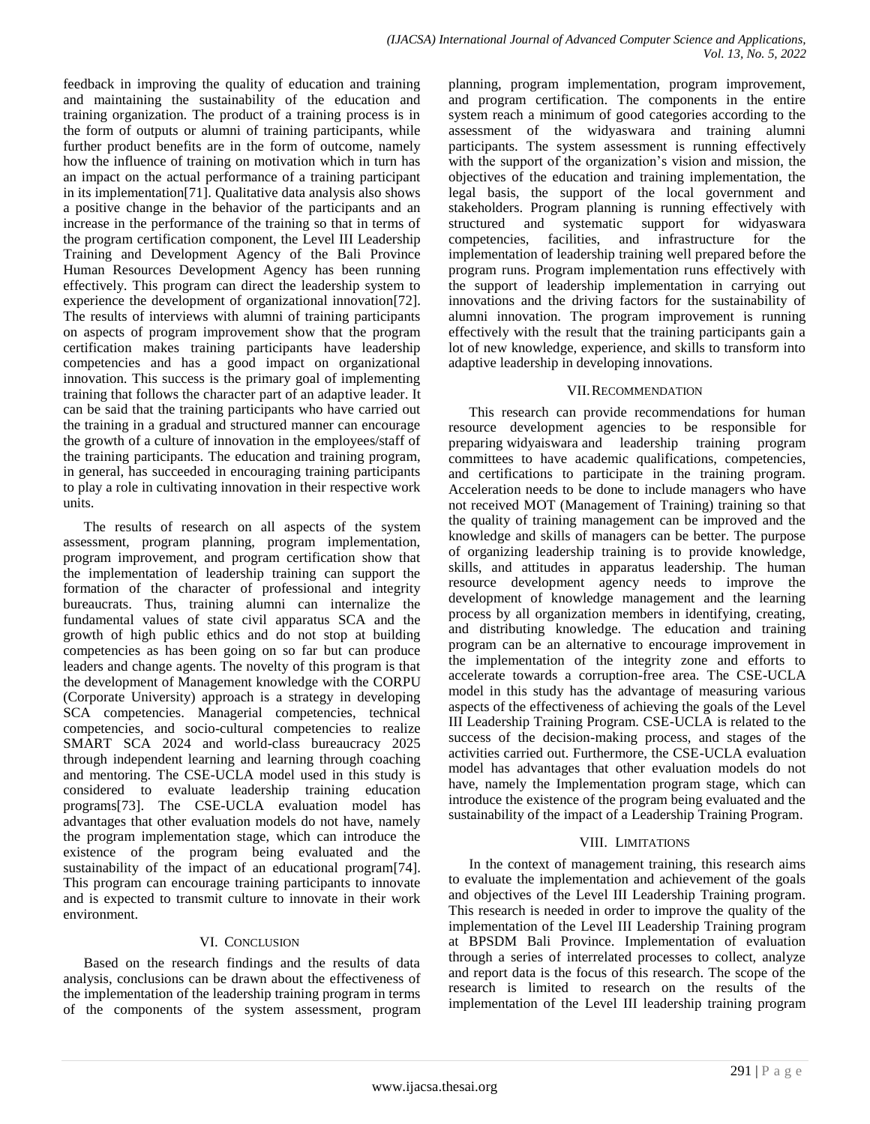feedback in improving the quality of education and training and maintaining the sustainability of the education and training organization. The product of a training process is in the form of outputs or alumni of training participants, while further product benefits are in the form of outcome, namely how the influence of training on motivation which in turn has an impact on the actual performance of a training participant in its implementation[71]. Qualitative data analysis also shows a positive change in the behavior of the participants and an increase in the performance of the training so that in terms of the program certification component, the Level III Leadership Training and Development Agency of the Bali Province Human Resources Development Agency has been running effectively. This program can direct the leadership system to experience the development of organizational innovation[72]. The results of interviews with alumni of training participants on aspects of program improvement show that the program certification makes training participants have leadership competencies and has a good impact on organizational innovation. This success is the primary goal of implementing training that follows the character part of an adaptive leader. It can be said that the training participants who have carried out the training in a gradual and structured manner can encourage the growth of a culture of innovation in the employees/staff of the training participants. The education and training program, in general, has succeeded in encouraging training participants to play a role in cultivating innovation in their respective work units.

The results of research on all aspects of the system assessment, program planning, program implementation, program improvement, and program certification show that the implementation of leadership training can support the formation of the character of professional and integrity bureaucrats. Thus, training alumni can internalize the fundamental values of state civil apparatus SCA and the growth of high public ethics and do not stop at building competencies as has been going on so far but can produce leaders and change agents. The novelty of this program is that the development of Management knowledge with the CORPU (Corporate University) approach is a strategy in developing SCA competencies. Managerial competencies, technical competencies, and socio-cultural competencies to realize SMART SCA 2024 and world-class bureaucracy 2025 through independent learning and learning through coaching and mentoring. The CSE-UCLA model used in this study is considered to evaluate leadership training education programs[73]. The CSE-UCLA evaluation model has advantages that other evaluation models do not have, namely the program implementation stage, which can introduce the existence of the program being evaluated and the sustainability of the impact of an educational program<sup>[74]</sup>. This program can encourage training participants to innovate and is expected to transmit culture to innovate in their work environment.

# VI. CONCLUSION

Based on the research findings and the results of data analysis, conclusions can be drawn about the effectiveness of the implementation of the leadership training program in terms of the components of the system assessment, program planning, program implementation, program improvement, and program certification. The components in the entire system reach a minimum of good categories according to the assessment of the widyaswara and training alumni participants. The system assessment is running effectively with the support of the organization's vision and mission, the objectives of the education and training implementation, the legal basis, the support of the local government and stakeholders. Program planning is running effectively with structured and systematic support for widyaswara competencies, facilities, and infrastructure for the implementation of leadership training well prepared before the program runs. Program implementation runs effectively with the support of leadership implementation in carrying out innovations and the driving factors for the sustainability of alumni innovation. The program improvement is running effectively with the result that the training participants gain a lot of new knowledge, experience, and skills to transform into adaptive leadership in developing innovations.

#### VII.RECOMMENDATION

This research can provide recommendations for human resource development agencies to be responsible for preparing widyaiswara and leadership training program committees to have academic qualifications, competencies, and certifications to participate in the training program. Acceleration needs to be done to include managers who have not received MOT (Management of Training) training so that the quality of training management can be improved and the knowledge and skills of managers can be better. The purpose of organizing leadership training is to provide knowledge, skills, and attitudes in apparatus leadership. The human resource development agency needs to improve the development of knowledge management and the learning process by all organization members in identifying, creating, and distributing knowledge. The education and training program can be an alternative to encourage improvement in the implementation of the integrity zone and efforts to accelerate towards a corruption-free area. The CSE-UCLA model in this study has the advantage of measuring various aspects of the effectiveness of achieving the goals of the Level III Leadership Training Program. CSE-UCLA is related to the success of the decision-making process, and stages of the activities carried out. Furthermore, the CSE-UCLA evaluation model has advantages that other evaluation models do not have, namely the Implementation program stage, which can introduce the existence of the program being evaluated and the sustainability of the impact of a Leadership Training Program.

#### VIII. LIMITATIONS

In the context of management training, this research aims to evaluate the implementation and achievement of the goals and objectives of the Level III Leadership Training program. This research is needed in order to improve the quality of the implementation of the Level III Leadership Training program at BPSDM Bali Province. Implementation of evaluation through a series of interrelated processes to collect, analyze and report data is the focus of this research. The scope of the research is limited to research on the results of the implementation of the Level III leadership training program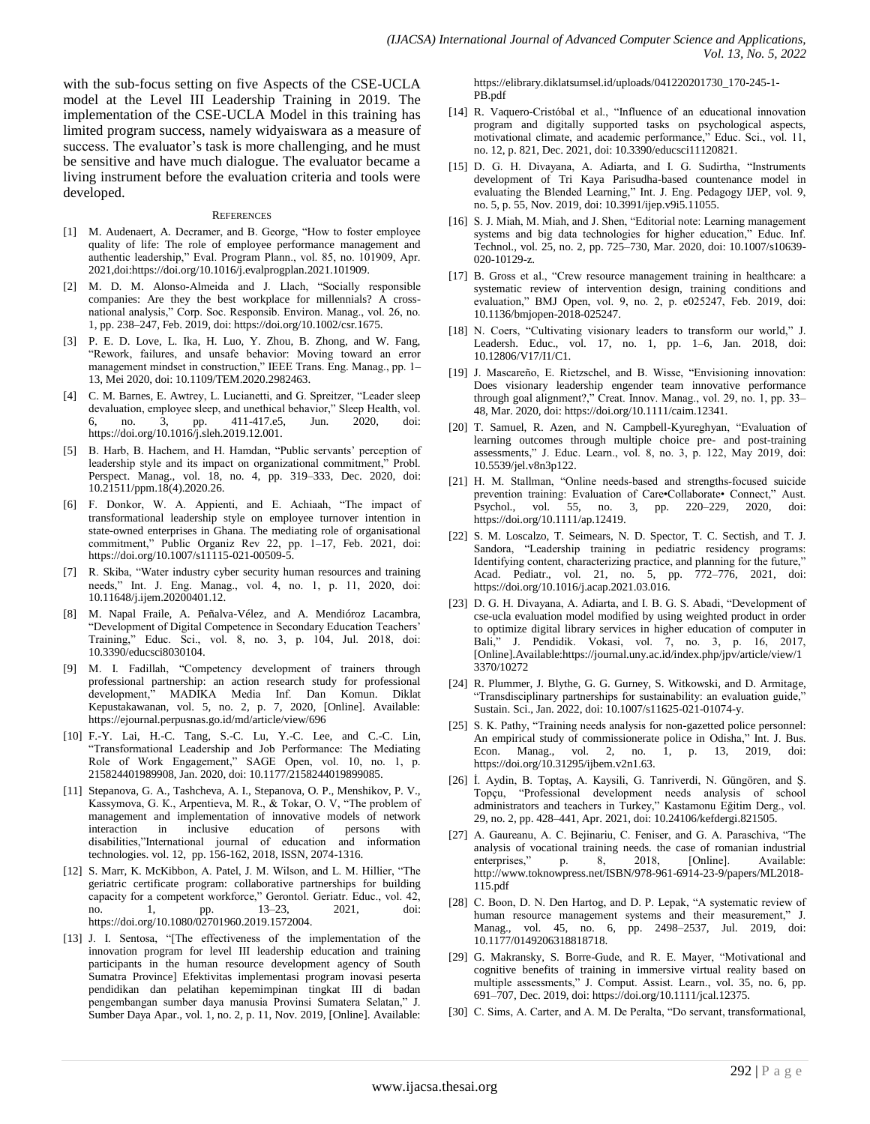with the sub-focus setting on five Aspects of the CSE-UCLA model at the Level III Leadership Training in 2019. The implementation of the CSE-UCLA Model in this training has limited program success, namely widyaiswara as a measure of success. The evaluator's task is more challenging, and he must be sensitive and have much dialogue. The evaluator became a living instrument before the evaluation criteria and tools were developed.

#### **REFERENCES**

- [1] M. Audenaert, A. Decramer, and B. George, "How to foster employee quality of life: The role of employee performance management and authentic leadership," Eval. Program Plann., vol. 85, no. 101909, Apr. 2021,doi:https://doi.org/10.1016/j.evalprogplan.2021.101909.
- [2] M. D. M. Alonso-Almeida and J. Llach, "Socially responsible companies: Are they the best workplace for millennials? A crossnational analysis," Corp. Soc. Responsib. Environ. Manag., vol. 26, no. 1, pp. 238–247, Feb. 2019, doi: https://doi.org/10.1002/csr.1675.
- [3] P. E. D. Love, L. Ika, H. Luo, Y. Zhou, B. Zhong, and W. Fang, ―Rework, failures, and unsafe behavior: Moving toward an error management mindset in construction," IEEE Trans. Eng. Manag., pp. 1-13, Mei 2020, doi: 10.1109/TEM.2020.2982463.
- [4] C. M. Barnes, E. Awtrey, L. Lucianetti, and G. Spreitzer, "Leader sleep devaluation, employee sleep, and unethical behavior," Sleep Health, vol. 6, no. 3, pp. 411-417.e5, Jun. 2020, doi: https://doi.org/10.1016/j.sleh.2019.12.001.
- [5] B. Harb, B. Hachem, and H. Hamdan, "Public servants' perception of leadership style and its impact on organizational commitment," Probl. Perspect. Manag., vol. 18, no. 4, pp. 319–333, Dec. 2020, doi: 10.21511/ppm.18(4).2020.26.
- F. Donkor, W. A. Appienti, and E. Achiaah, "The impact of transformational leadership style on employee turnover intention in state-owned enterprises in Ghana. The mediating role of organisational commitment," Public Organiz Rev 22, pp. 1-17, Feb. 2021, doi: https://doi.org/10.1007/s11115-021-00509-5.
- [7] R. Skiba, "Water industry cyber security human resources and training needs," Int. J. Eng. Manag., vol. 4, no. 1, p. 11, 2020, doi: 10.11648/j.ijem.20200401.12.
- [8] M. Napal Fraile, A. Peñalva-Vélez, and A. Mendióroz Lacambra, ―Development of Digital Competence in Secondary Education Teachers' Training,‖ Educ. Sci., vol. 8, no. 3, p. 104, Jul. 2018, doi: 10.3390/educsci8030104.
- [9] M. I. Fadillah, "Competency development of trainers through professional partnership: an action research study for professional development," MADIKA Media Inf. Dan Komun. Diklat Kepustakawanan, vol. 5, no. 2, p. 7, 2020, [Online]. Available: https://ejournal.perpusnas.go.id/md/article/view/696
- [10] F.-Y. Lai, H.-C. Tang, S.-C. Lu, Y.-C. Lee, and C.-C. Lin, ―Transformational Leadership and Job Performance: The Mediating Role of Work Engagement," SAGE Open, vol. 10, no. 1, p. 215824401989908, Jan. 2020, doi: 10.1177/2158244019899085.
- [11] Stepanova, G. A., Tashcheva, A. I., Stepanova, O. P., Menshikov, P. V., Kassymova, G. K., Arpentieva, M. R., & Tokar, O. V, "The problem of management and implementation of innovative models of network interaction in inclusive education of persons with disabilities,"International journal of education and information technologies. vol. 12, pp. 156-162, 2018, ISSN, 2074-1316.
- [12] S. Marr, K. McKibbon, A. Patel, J. M. Wilson, and L. M. Hillier, "The geriatric certificate program: collaborative partnerships for building capacity for a competent workforce," Gerontol. Geriatr. Educ., vol. 42, no. 1, pp. 13–23, 2021, doi: https://doi.org/10.1080/02701960.2019.1572004.
- [13] J. I. Sentosa, "[The effectiveness of the implementation of the innovation program for level III leadership education and training participants in the human resource development agency of South Sumatra Province] Efektivitas implementasi program inovasi peserta pendidikan dan pelatihan kepemimpinan tingkat III di badan pengembangan sumber daya manusia Provinsi Sumatera Selatan," J. Sumber Daya Apar., vol. 1, no. 2, p. 11, Nov. 2019, [Online]. Available:

https://elibrary.diklatsumsel.id/uploads/041220201730\_170-245-1- PB.pdf

- [14] R. Vaquero-Cristóbal et al., "Influence of an educational innovation program and digitally supported tasks on psychological aspects, motivational climate, and academic performance," Educ. Sci., vol. 11, no. 12, p. 821, Dec. 2021, doi: 10.3390/educsci11120821.
- [15] D. G. H. Divayana, A. Adiarta, and I. G. Sudirtha, "Instruments development of Tri Kaya Parisudha-based countenance model in evaluating the Blended Learning," Int. J. Eng. Pedagogy IJEP, vol. 9, no. 5, p. 55, Nov. 2019, doi: 10.3991/ijep.v9i5.11055.
- [16] S. J. Miah, M. Miah, and J. Shen, "Editorial note: Learning management systems and big data technologies for higher education," Educ. Inf. Technol., vol. 25, no. 2, pp. 725–730, Mar. 2020, doi: 10.1007/s10639- 020-10129-z.
- [17] B. Gross et al., "Crew resource management training in healthcare: a systematic review of intervention design, training conditions and evaluation," BMJ Open, vol. 9, no. 2, p. e025247, Feb. 2019, doi: 10.1136/bmjopen-2018-025247.
- [18] N. Coers, "Cultivating visionary leaders to transform our world," J. Leadersh. Educ., vol. 17, no. 1, pp. 1–6, Jan. 2018, doi: 10.12806/V17/I1/C1.
- [19] J. Mascareño, E. Rietzschel, and B. Wisse, "Envisioning innovation: Does visionary leadership engender team innovative performance through goal alignment?," Creat. Innov. Manag., vol. 29, no. 1, pp. 33-48, Mar. 2020, doi: https://doi.org/10.1111/caim.12341.
- [20] T. Samuel, R. Azen, and N. Campbell-Kyureghyan, "Evaluation of learning outcomes through multiple choice pre- and post-training assessments," J. Educ. Learn., vol. 8, no. 3, p. 122, May 2019, doi: 10.5539/jel.v8n3p122.
- [21] H. M. Stallman, "Online needs-based and strengths-focused suicide prevention training: Evaluation of Care•Collaborate• Connect," Aust. Psychol., vol. 55, no. 3, pp. 220–229, 2020, doi: https://doi.org/10.1111/ap.12419.
- [22] S. M. Loscalzo, T. Seimears, N. D. Spector, T. C. Sectish, and T. J. Sandora, "Leadership training in pediatric residency programs: Identifying content, characterizing practice, and planning for the future,' Acad. Pediatr., vol. 21, no. 5, pp. 772–776, 2021, doi: https://doi.org/10.1016/j.acap.2021.03.016.
- [23] D. G. H. Divayana, A. Adiarta, and I. B. G. S. Abadi, "Development of cse-ucla evaluation model modified by using weighted product in order to optimize digital library services in higher education of computer in Bali," J. Pendidik. Vokasi, vol. 7, no. 3, p. 16, 2017, [Online].Available:https://journal.uny.ac.id/index.php/jpv/article/view/1 3370/10272
- [24] R. Plummer, J. Blythe, G. G. Gurney, S. Witkowski, and D. Armitage, "Transdisciplinary partnerships for sustainability: an evaluation guide," Sustain. Sci., Jan. 2022, doi: 10.1007/s11625-021-01074-y.
- [25] S. K. Pathy, "Training needs analysis for non-gazetted police personnel: An empirical study of commissionerate police in Odisha," Int. J. Bus. Econ. Manag., vol. 2, no. 1, p. 13, 2019, doi: https://doi.org/10.31295/ijbem.v2n1.63.
- [26] İ. Aydin, B. Toptaş, A. Kaysili, G. Tanriverdi, N. Güngören, and Ş. Topçu, "Professional development needs analysis of school administrators and teachers in Turkey," Kastamonu Eğitim Derg., vol. 29, no. 2, pp. 428–441, Apr. 2021, doi: 10.24106/kefdergi.821505.
- [27] A. Gaureanu, A. C. Bejinariu, C. Feniser, and G. A. Paraschiva, "The analysis of vocational training needs. the case of romanian industrial enterprises," p. 8, 2018, [Online]. Available: http://www.toknowpress.net/ISBN/978-961-6914-23-9/papers/ML2018- 115.pdf
- [28] C. Boon, D. N. Den Hartog, and D. P. Lepak, "A systematic review of human resource management systems and their measurement," J. Manag., vol. 45, no. 6, pp. 2498–2537, Jul. 2019, doi: 10.1177/0149206318818718.
- [29] G. Makransky, S. Borre-Gude, and R. E. Mayer, "Motivational and cognitive benefits of training in immersive virtual reality based on multiple assessments," J. Comput. Assist. Learn., vol. 35, no. 6, pp. 691–707, Dec. 2019, doi: https://doi.org/10.1111/jcal.12375.
- [30] C. Sims, A. Carter, and A. M. De Peralta, "Do servant, transformational,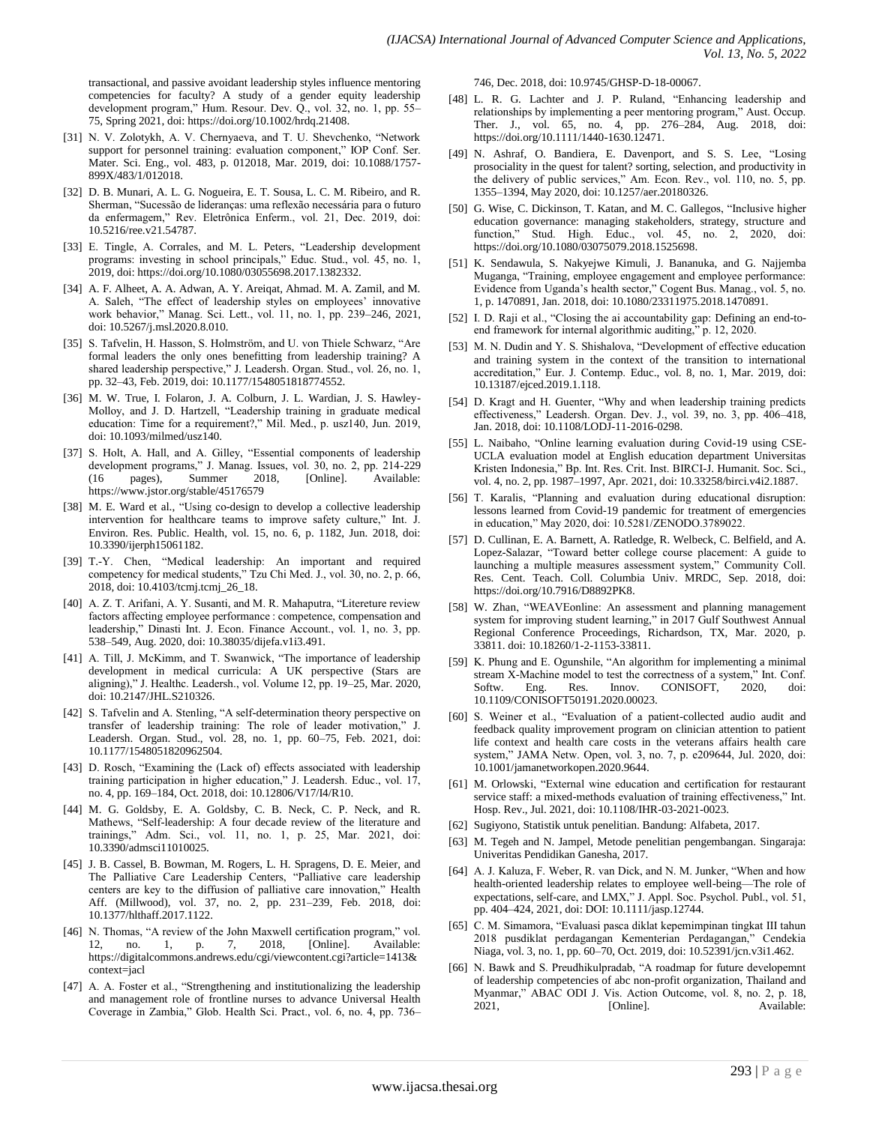transactional, and passive avoidant leadership styles influence mentoring competencies for faculty? A study of a gender equity leadership development program," Hum. Resour. Dev. Q., vol. 32, no. 1, pp. 55– 75, Spring 2021, doi: https://doi.org/10.1002/hrdq.21408.

- [31] N. V. Zolotykh, A. V. Chernyaeva, and T. U. Shevchenko, "Network support for personnel training: evaluation component," IOP Conf. Ser. Mater. Sci. Eng., vol. 483, p. 012018, Mar. 2019, doi: 10.1088/1757- 899X/483/1/012018.
- [32] D. B. Munari, A. L. G. Nogueira, E. T. Sousa, L. C. M. Ribeiro, and R. Sherman, "Sucessão de lideranças: uma reflexão necessária para o futuro da enfermagem," Rev. Eletrônica Enferm., vol. 21, Dec. 2019, doi: 10.5216/ree.v21.54787.
- [33] E. Tingle, A. Corrales, and M. L. Peters, "Leadership development programs: investing in school principals," Educ. Stud., vol. 45, no. 1, 2019, doi: https://doi.org/10.1080/03055698.2017.1382332.
- [34] A. F. Alheet, A. A. Adwan, A. Y. Areiqat, Ahmad. M. A. Zamil, and M. A. Saleh, "The effect of leadership styles on employees' innovative work behavior," Manag. Sci. Lett., vol. 11, no. 1, pp. 239-246, 2021, doi: 10.5267/j.msl.2020.8.010.
- [35] S. Tafvelin, H. Hasson, S. Holmström, and U. von Thiele Schwarz, "Are formal leaders the only ones benefitting from leadership training? A shared leadership perspective," J. Leadersh. Organ. Stud., vol. 26, no. 1, pp. 32–43, Feb. 2019, doi: 10.1177/1548051818774552.
- [36] M. W. True, I. Folaron, J. A. Colburn, J. L. Wardian, J. S. Hawley-Molloy, and J. D. Hartzell, "Leadership training in graduate medical education: Time for a requirement?," Mil. Med., p. usz140, Jun. 2019, doi: 10.1093/milmed/usz140.
- [37] S. Holt, A. Hall, and A. Gilley, "Essential components of leadership development programs," J. Manag. Issues, vol. 30, no. 2, pp. 214-229 (16 pages), Summer 2018, [Online]. Available: https://www.jstor.org/stable/45176579
- [38] M. E. Ward et al., "Using co-design to develop a collective leadership intervention for healthcare teams to improve safety culture," Int. J. Environ. Res. Public. Health, vol. 15, no. 6, p. 1182, Jun. 2018, doi: 10.3390/ijerph15061182.
- [39] T.-Y. Chen, "Medical leadership: An important and required competency for medical students," Tzu Chi Med. J., vol. 30, no. 2, p. 66, 2018, doi: 10.4103/tcmj.tcmj\_26\_18.
- [40] A. Z. T. Arifani, A. Y. Susanti, and M. R. Mahaputra, "Litereture review factors affecting employee performance : competence, compensation and leadership," Dinasti Int. J. Econ. Finance Account., vol. 1, no. 3, pp. 538–549, Aug. 2020, doi: 10.38035/dijefa.v1i3.491.
- [41] A. Till, J. McKimm, and T. Swanwick, "The importance of leadership development in medical curricula: A UK perspective (Stars are aligning)," J. Healthc. Leadersh., vol. Volume 12, pp. 19-25, Mar. 2020, doi: 10.2147/JHL.S210326.
- [42] S. Tafvelin and A. Stenling, "A self-determination theory perspective on transfer of leadership training: The role of leader motivation," Leadersh. Organ. Stud., vol. 28, no. 1, pp. 60–75, Feb. 2021, doi: 10.1177/1548051820962504.
- [43] D. Rosch, "Examining the (Lack of) effects associated with leadership training participation in higher education," J. Leadersh. Educ., vol. 17, no. 4, pp. 169–184, Oct. 2018, doi: 10.12806/V17/I4/R10.
- [44] M. G. Goldsby, E. A. Goldsby, C. B. Neck, C. P. Neck, and R. Mathews, "Self-leadership: A four decade review of the literature and trainings," Adm. Sci., vol. 11, no. 1, p. 25, Mar. 2021, doi: 10.3390/admsci11010025.
- [45] J. B. Cassel, B. Bowman, M. Rogers, L. H. Spragens, D. E. Meier, and The Palliative Care Leadership Centers, "Palliative care leadership centers are key to the diffusion of palliative care innovation," Health Aff. (Millwood), vol. 37, no. 2, pp. 231–239, Feb. 2018, doi: 10.1377/hlthaff.2017.1122.
- [46] N. Thomas, "A review of the John Maxwell certification program," vol. 12, no. 1, p. 7, 2018, [Online]. Available: https://digitalcommons.andrews.edu/cgi/viewcontent.cgi?article=1413& context=jacl
- [47] A. A. Foster et al., "Strengthening and institutionalizing the leadership and management role of frontline nurses to advance Universal Health Coverage in Zambia," Glob. Health Sci. Pract., vol. 6, no. 4, pp. 736–

746, Dec. 2018, doi: 10.9745/GHSP-D-18-00067.

- [48] L. R. G. Lachter and J. P. Ruland, "Enhancing leadership and relationships by implementing a peer mentoring program," Aust. Occup. Ther. J., vol. 65, no. 4, pp. 276–284, Aug. 2018, doi: https://doi.org/10.1111/1440-1630.12471.
- [49] N. Ashraf, O. Bandiera, E. Davenport, and S. S. Lee, "Losing prosociality in the quest for talent? sorting, selection, and productivity in the delivery of public services," Am. Econ. Rev., vol. 110, no. 5, pp. 1355–1394, May 2020, doi: 10.1257/aer.20180326.
- [50] G. Wise, C. Dickinson, T. Katan, and M. C. Gallegos, "Inclusive higher education governance: managing stakeholders, strategy, structure and function,‖ Stud. High. Educ., vol. 45, no. 2, 2020, doi: https://doi.org/10.1080/03075079.2018.1525698.
- [51] K. Sendawula, S. Nakyejwe Kimuli, J. Bananuka, and G. Najjemba Muganga, "Training, employee engagement and employee performance: Evidence from Uganda's health sector," Cogent Bus. Manag., vol. 5, no. 1, p. 1470891, Jan. 2018, doi: 10.1080/23311975.2018.1470891.
- [52] I. D. Raji et al., "Closing the ai accountability gap: Defining an end-toend framework for internal algorithmic auditing," p. 12, 2020.
- [53] M. N. Dudin and Y. S. Shishalova, "Development of effective education and training system in the context of the transition to international accreditation," Eur. J. Contemp. Educ., vol. 8, no. 1, Mar. 2019, doi: 10.13187/ejced.2019.1.118.
- [54] D. Kragt and H. Guenter, "Why and when leadership training predicts effectiveness," Leadersh. Organ. Dev. J., vol. 39, no. 3, pp. 406-418, Jan. 2018, doi: 10.1108/LODJ-11-2016-0298.
- [55] L. Naibaho, "Online learning evaluation during Covid-19 using CSE-UCLA evaluation model at English education department Universitas Kristen Indonesia," Bp. Int. Res. Crit. Inst. BIRCI-J. Humanit. Soc. Sci., vol. 4, no. 2, pp. 1987–1997, Apr. 2021, doi: 10.33258/birci.v4i2.1887.
- [56] T. Karalis, "Planning and evaluation during educational disruption: lessons learned from Covid-19 pandemic for treatment of emergencies in education," May 2020, doi: 10.5281/ZENODO.3789022.
- [57] D. Cullinan, E. A. Barnett, A. Ratledge, R. Welbeck, C. Belfield, and A. Lopez-Salazar, "Toward better college course placement: A guide to launching a multiple measures assessment system," Community Coll. Res. Cent. Teach. Coll. Columbia Univ. MRDC, Sep. 2018, doi: https://doi.org/10.7916/D8892PK8.
- [58] W. Zhan, "WEAVEonline: An assessment and planning management system for improving student learning," in 2017 Gulf Southwest Annual Regional Conference Proceedings, Richardson, TX, Mar. 2020, p. 33811. doi: 10.18260/1-2-1153-33811.
- [59] K. Phung and E. Ogunshile, "An algorithm for implementing a minimal stream X-Machine model to test the correctness of a system," Int. Conf. Softw. Eng. Res. Innov. CONISOFT, 2020, doi: 10.1109/CONISOFT50191.2020.00023.
- [60] S. Weiner et al., "Evaluation of a patient-collected audio audit and feedback quality improvement program on clinician attention to patient life context and health care costs in the veterans affairs health care system," JAMA Netw. Open, vol. 3, no. 7, p. e209644, Jul. 2020, doi: 10.1001/jamanetworkopen.2020.9644.
- [61] M. Orlowski, "External wine education and certification for restaurant service staff: a mixed-methods evaluation of training effectiveness," Int. Hosp. Rev., Jul. 2021, doi: 10.1108/IHR-03-2021-0023.
- [62] Sugiyono, Statistik untuk penelitian. Bandung: Alfabeta, 2017.
- [63] M. Tegeh and N. Jampel, Metode penelitian pengembangan. Singaraja: Univeritas Pendidikan Ganesha, 2017.
- [64] A. J. Kaluza, F. Weber, R. van Dick, and N. M. Junker, "When and how health-oriented leadership relates to employee well-being—The role of expectations, self-care, and LMX," J. Appl. Soc. Psychol. Publ., vol. 51, pp. 404–424, 2021, doi: DOI: 10.1111/jasp.12744.
- [65] C. M. Simamora, "Evaluasi pasca diklat kepemimpinan tingkat III tahun 2018 pusdiklat perdagangan Kementerian Perdagangan," Cendekia Niaga, vol. 3, no. 1, pp. 60–70, Oct. 2019, doi: 10.52391/jcn.v3i1.462.
- [66] N. Bawk and S. Preudhikulpradab, "A roadmap for future developemnt of leadership competencies of abc non-profit organization, Thailand and Myanmar," ABAC ODI J. Vis. Action Outcome, vol. 8, no. 2, p. 18, 2021, [Online]. Available: